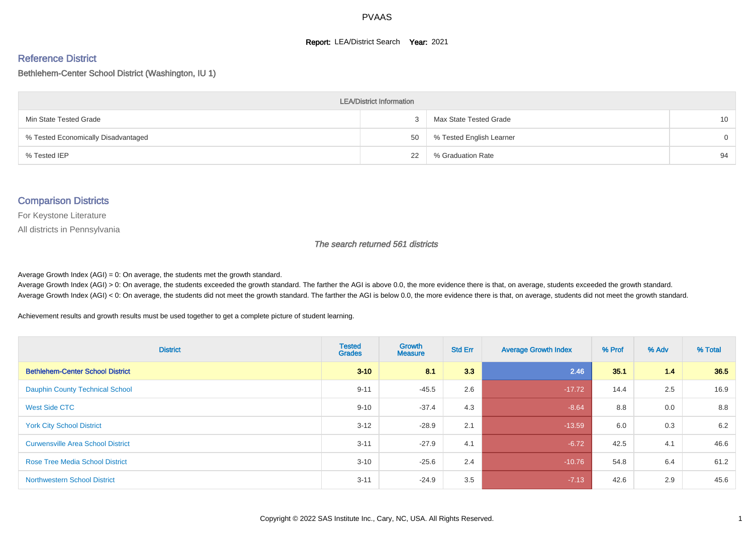#### **Report: LEA/District Search Year: 2021**

#### Reference District

#### Bethlehem-Center School District (Washington, IU 1)

| <b>LEA/District Information</b>     |    |                          |          |  |  |  |  |  |  |
|-------------------------------------|----|--------------------------|----------|--|--|--|--|--|--|
| Min State Tested Grade              |    | Max State Tested Grade   | 10       |  |  |  |  |  |  |
| % Tested Economically Disadvantaged | 50 | % Tested English Learner | $\Omega$ |  |  |  |  |  |  |
| % Tested IEP                        | 22 | % Graduation Rate        | 94       |  |  |  |  |  |  |

#### Comparison Districts

For Keystone Literature

All districts in Pennsylvania

The search returned 561 districts

Average Growth Index  $(AGI) = 0$ : On average, the students met the growth standard.

Average Growth Index (AGI) > 0: On average, the students exceeded the growth standard. The farther the AGI is above 0.0, the more evidence there is that, on average, students exceeded the growth standard. Average Growth Index (AGI) < 0: On average, the students did not meet the growth standard. The farther the AGI is below 0.0, the more evidence there is that, on average, students did not meet the growth standard.

Achievement results and growth results must be used together to get a complete picture of student learning.

| <b>District</b>                          | <b>Tested</b><br><b>Grades</b> | <b>Growth</b><br><b>Measure</b> | <b>Std Err</b> | <b>Average Growth Index</b> | % Prof | % Adv | % Total |
|------------------------------------------|--------------------------------|---------------------------------|----------------|-----------------------------|--------|-------|---------|
| <b>Bethlehem-Center School District</b>  | $3 - 10$                       | 8.1                             | 3.3            | 2.46                        | 35.1   | 1.4   | 36.5    |
| <b>Dauphin County Technical School</b>   | $9 - 11$                       | $-45.5$                         | 2.6            | $-17.72$                    | 14.4   | 2.5   | 16.9    |
| West Side CTC                            | $9 - 10$                       | $-37.4$                         | 4.3            | $-8.64$                     | 8.8    | 0.0   | 8.8     |
| <b>York City School District</b>         | $3 - 12$                       | $-28.9$                         | 2.1            | $-13.59$                    | 6.0    | 0.3   | 6.2     |
| <b>Curwensville Area School District</b> | $3 - 11$                       | $-27.9$                         | 4.1            | $-6.72$                     | 42.5   | 4.1   | 46.6    |
| <b>Rose Tree Media School District</b>   | $3 - 10$                       | $-25.6$                         | 2.4            | $-10.76$                    | 54.8   | 6.4   | 61.2    |
| <b>Northwestern School District</b>      | $3 - 11$                       | $-24.9$                         | 3.5            | $-7.13$                     | 42.6   | 2.9   | 45.6    |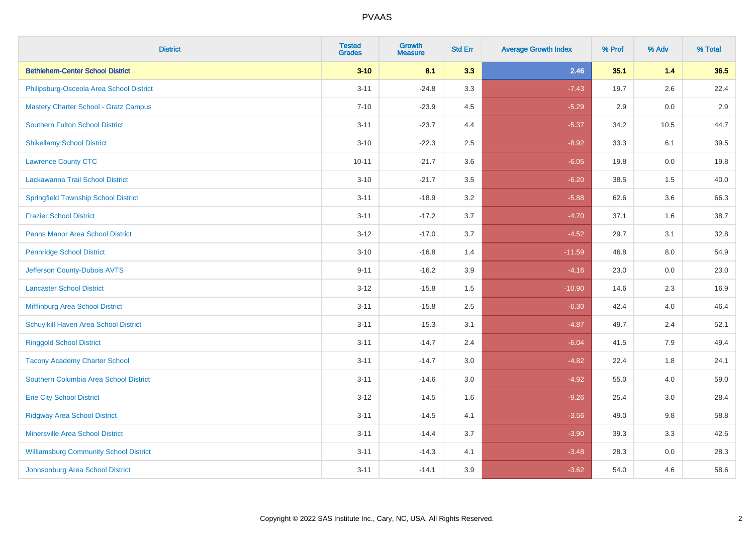| <b>District</b>                               | <b>Tested</b><br><b>Grades</b> | <b>Growth</b><br><b>Measure</b> | <b>Std Err</b> | <b>Average Growth Index</b> | % Prof | % Adv   | % Total |
|-----------------------------------------------|--------------------------------|---------------------------------|----------------|-----------------------------|--------|---------|---------|
| <b>Bethlehem-Center School District</b>       | $3 - 10$                       | 8.1                             | 3.3            | 2.46                        | 35.1   | $1.4$   | 36.5    |
| Philipsburg-Osceola Area School District      | $3 - 11$                       | $-24.8$                         | 3.3            | $-7.43$                     | 19.7   | 2.6     | 22.4    |
| <b>Mastery Charter School - Gratz Campus</b>  | $7 - 10$                       | $-23.9$                         | 4.5            | $-5.29$                     | 2.9    | 0.0     | 2.9     |
| <b>Southern Fulton School District</b>        | $3 - 11$                       | $-23.7$                         | 4.4            | $-5.37$                     | 34.2   | 10.5    | 44.7    |
| <b>Shikellamy School District</b>             | $3 - 10$                       | $-22.3$                         | 2.5            | $-8.92$                     | 33.3   | 6.1     | 39.5    |
| <b>Lawrence County CTC</b>                    | $10 - 11$                      | $-21.7$                         | 3.6            | $-6.05$                     | 19.8   | 0.0     | 19.8    |
| Lackawanna Trail School District              | $3 - 10$                       | $-21.7$                         | 3.5            | $-6.20$                     | 38.5   | 1.5     | 40.0    |
| <b>Springfield Township School District</b>   | $3 - 11$                       | $-18.9$                         | 3.2            | $-5.88$                     | 62.6   | 3.6     | 66.3    |
| <b>Frazier School District</b>                | $3 - 11$                       | $-17.2$                         | 3.7            | $-4.70$                     | 37.1   | 1.6     | 38.7    |
| <b>Penns Manor Area School District</b>       | $3 - 12$                       | $-17.0$                         | 3.7            | $-4.52$                     | 29.7   | 3.1     | 32.8    |
| <b>Pennridge School District</b>              | $3 - 10$                       | $-16.8$                         | 1.4            | $-11.59$                    | 46.8   | 8.0     | 54.9    |
| Jefferson County-Dubois AVTS                  | $9 - 11$                       | $-16.2$                         | 3.9            | $-4.16$                     | 23.0   | 0.0     | 23.0    |
| <b>Lancaster School District</b>              | $3 - 12$                       | $-15.8$                         | 1.5            | $-10.90$                    | 14.6   | $2.3\,$ | 16.9    |
| Mifflinburg Area School District              | $3 - 11$                       | $-15.8$                         | 2.5            | $-6.30$                     | 42.4   | 4.0     | 46.4    |
| Schuylkill Haven Area School District         | $3 - 11$                       | $-15.3$                         | 3.1            | $-4.87$                     | 49.7   | 2.4     | 52.1    |
| <b>Ringgold School District</b>               | $3 - 11$                       | $-14.7$                         | 2.4            | $-6.04$                     | 41.5   | 7.9     | 49.4    |
| <b>Tacony Academy Charter School</b>          | $3 - 11$                       | $-14.7$                         | 3.0            | $-4.82$                     | 22.4   | 1.8     | 24.1    |
| Southern Columbia Area School District        | $3 - 11$                       | $-14.6$                         | 3.0            | $-4.92$                     | 55.0   | 4.0     | 59.0    |
| <b>Erie City School District</b>              | $3 - 12$                       | $-14.5$                         | 1.6            | $-9.26$                     | 25.4   | 3.0     | 28.4    |
| <b>Ridgway Area School District</b>           | $3 - 11$                       | $-14.5$                         | 4.1            | $-3.56$                     | 49.0   | 9.8     | 58.8    |
| <b>Minersville Area School District</b>       | $3 - 11$                       | $-14.4$                         | 3.7            | $-3.90$                     | 39.3   | 3.3     | 42.6    |
| <b>Williamsburg Community School District</b> | $3 - 11$                       | $-14.3$                         | 4.1            | $-3.48$                     | 28.3   | 0.0     | 28.3    |
| Johnsonburg Area School District              | $3 - 11$                       | $-14.1$                         | 3.9            | $-3.62$                     | 54.0   | 4.6     | 58.6    |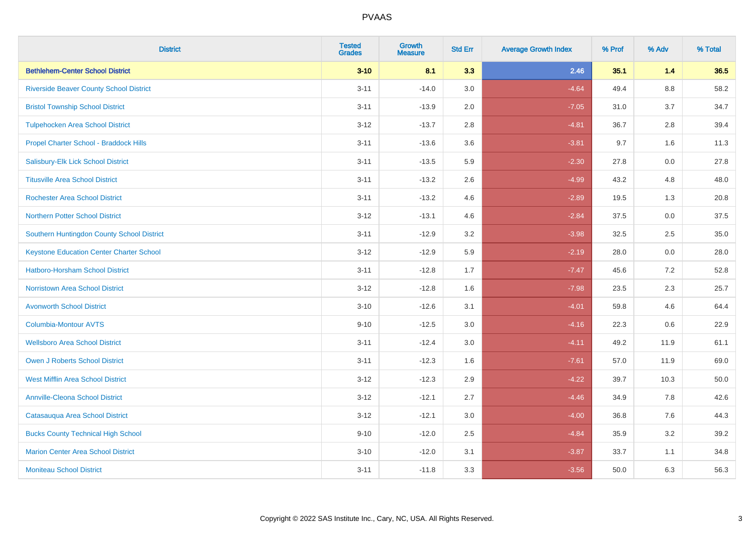| <b>District</b>                                 | <b>Tested</b><br><b>Grades</b> | <b>Growth</b><br><b>Measure</b> | <b>Std Err</b> | <b>Average Growth Index</b> | % Prof | % Adv   | % Total |
|-------------------------------------------------|--------------------------------|---------------------------------|----------------|-----------------------------|--------|---------|---------|
| <b>Bethlehem-Center School District</b>         | $3 - 10$                       | 8.1                             | 3.3            | 2.46                        | 35.1   | 1.4     | 36.5    |
| <b>Riverside Beaver County School District</b>  | $3 - 11$                       | $-14.0$                         | 3.0            | $-4.64$                     | 49.4   | $8.8\,$ | 58.2    |
| <b>Bristol Township School District</b>         | $3 - 11$                       | $-13.9$                         | 2.0            | $-7.05$                     | 31.0   | 3.7     | 34.7    |
| <b>Tulpehocken Area School District</b>         | $3 - 12$                       | $-13.7$                         | 2.8            | $-4.81$                     | 36.7   | 2.8     | 39.4    |
| Propel Charter School - Braddock Hills          | $3 - 11$                       | $-13.6$                         | 3.6            | $-3.81$                     | 9.7    | 1.6     | 11.3    |
| Salisbury-Elk Lick School District              | $3 - 11$                       | $-13.5$                         | 5.9            | $-2.30$                     | 27.8   | 0.0     | 27.8    |
| <b>Titusville Area School District</b>          | $3 - 11$                       | $-13.2$                         | 2.6            | $-4.99$                     | 43.2   | 4.8     | 48.0    |
| <b>Rochester Area School District</b>           | $3 - 11$                       | $-13.2$                         | 4.6            | $-2.89$                     | 19.5   | 1.3     | 20.8    |
| <b>Northern Potter School District</b>          | $3 - 12$                       | $-13.1$                         | 4.6            | $-2.84$                     | 37.5   | 0.0     | 37.5    |
| Southern Huntingdon County School District      | $3 - 11$                       | $-12.9$                         | 3.2            | $-3.98$                     | 32.5   | $2.5\,$ | 35.0    |
| <b>Keystone Education Center Charter School</b> | $3 - 12$                       | $-12.9$                         | 5.9            | $-2.19$                     | 28.0   | 0.0     | 28.0    |
| <b>Hatboro-Horsham School District</b>          | $3 - 11$                       | $-12.8$                         | 1.7            | $-7.47$                     | 45.6   | 7.2     | 52.8    |
| <b>Norristown Area School District</b>          | $3 - 12$                       | $-12.8$                         | 1.6            | $-7.98$                     | 23.5   | 2.3     | 25.7    |
| <b>Avonworth School District</b>                | $3 - 10$                       | $-12.6$                         | 3.1            | $-4.01$                     | 59.8   | 4.6     | 64.4    |
| Columbia-Montour AVTS                           | $9 - 10$                       | $-12.5$                         | 3.0            | $-4.16$                     | 22.3   | 0.6     | 22.9    |
| <b>Wellsboro Area School District</b>           | $3 - 11$                       | $-12.4$                         | 3.0            | $-4.11$                     | 49.2   | 11.9    | 61.1    |
| <b>Owen J Roberts School District</b>           | $3 - 11$                       | $-12.3$                         | 1.6            | $-7.61$                     | 57.0   | 11.9    | 69.0    |
| <b>West Mifflin Area School District</b>        | $3 - 12$                       | $-12.3$                         | 2.9            | $-4.22$                     | 39.7   | 10.3    | 50.0    |
| <b>Annville-Cleona School District</b>          | $3 - 12$                       | $-12.1$                         | 2.7            | $-4.46$                     | 34.9   | 7.8     | 42.6    |
| Catasauqua Area School District                 | $3 - 12$                       | $-12.1$                         | 3.0            | $-4.00$                     | 36.8   | 7.6     | 44.3    |
| <b>Bucks County Technical High School</b>       | $9 - 10$                       | $-12.0$                         | 2.5            | $-4.84$                     | 35.9   | 3.2     | 39.2    |
| <b>Marion Center Area School District</b>       | $3 - 10$                       | $-12.0$                         | 3.1            | $-3.87$                     | 33.7   | 1.1     | 34.8    |
| <b>Moniteau School District</b>                 | $3 - 11$                       | $-11.8$                         | 3.3            | $-3.56$                     | 50.0   | 6.3     | 56.3    |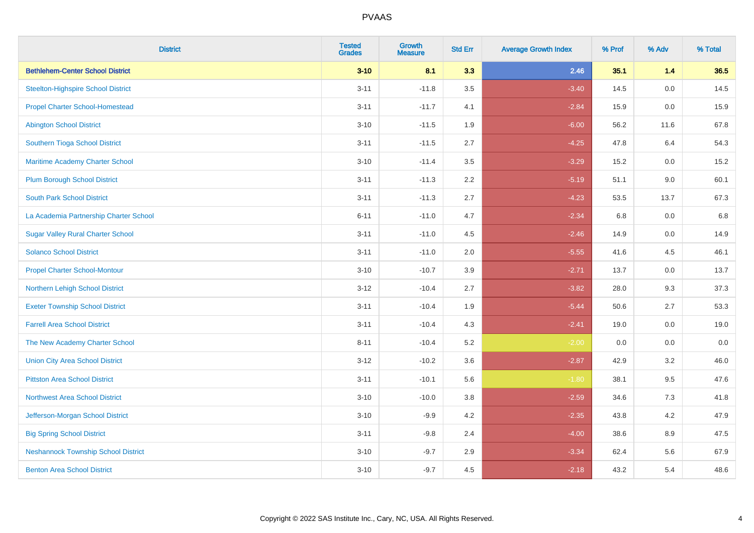| <b>District</b>                            | <b>Tested</b><br><b>Grades</b> | <b>Growth</b><br><b>Measure</b> | <b>Std Err</b> | <b>Average Growth Index</b> | % Prof | % Adv | % Total |
|--------------------------------------------|--------------------------------|---------------------------------|----------------|-----------------------------|--------|-------|---------|
| <b>Bethlehem-Center School District</b>    | $3 - 10$                       | 8.1                             | 3.3            | 2.46                        | 35.1   | $1.4$ | 36.5    |
| <b>Steelton-Highspire School District</b>  | $3 - 11$                       | $-11.8$                         | 3.5            | $-3.40$                     | 14.5   | 0.0   | 14.5    |
| <b>Propel Charter School-Homestead</b>     | $3 - 11$                       | $-11.7$                         | 4.1            | $-2.84$                     | 15.9   | 0.0   | 15.9    |
| <b>Abington School District</b>            | $3 - 10$                       | $-11.5$                         | 1.9            | $-6.00$                     | 56.2   | 11.6  | 67.8    |
| Southern Tioga School District             | $3 - 11$                       | $-11.5$                         | 2.7            | $-4.25$                     | 47.8   | 6.4   | 54.3    |
| Maritime Academy Charter School            | $3 - 10$                       | $-11.4$                         | 3.5            | $-3.29$                     | 15.2   | 0.0   | 15.2    |
| <b>Plum Borough School District</b>        | $3 - 11$                       | $-11.3$                         | 2.2            | $-5.19$                     | 51.1   | 9.0   | 60.1    |
| <b>South Park School District</b>          | $3 - 11$                       | $-11.3$                         | 2.7            | $-4.23$                     | 53.5   | 13.7  | 67.3    |
| La Academia Partnership Charter School     | $6 - 11$                       | $-11.0$                         | 4.7            | $-2.34$                     | 6.8    | 0.0   | 6.8     |
| <b>Sugar Valley Rural Charter School</b>   | $3 - 11$                       | $-11.0$                         | 4.5            | $-2.46$                     | 14.9   | 0.0   | 14.9    |
| <b>Solanco School District</b>             | $3 - 11$                       | $-11.0$                         | 2.0            | $-5.55$                     | 41.6   | 4.5   | 46.1    |
| <b>Propel Charter School-Montour</b>       | $3 - 10$                       | $-10.7$                         | 3.9            | $-2.71$                     | 13.7   | 0.0   | 13.7    |
| Northern Lehigh School District            | $3 - 12$                       | $-10.4$                         | 2.7            | $-3.82$                     | 28.0   | 9.3   | 37.3    |
| <b>Exeter Township School District</b>     | $3 - 11$                       | $-10.4$                         | 1.9            | $-5.44$                     | 50.6   | 2.7   | 53.3    |
| <b>Farrell Area School District</b>        | $3 - 11$                       | $-10.4$                         | 4.3            | $-2.41$                     | 19.0   | 0.0   | 19.0    |
| The New Academy Charter School             | $8 - 11$                       | $-10.4$                         | 5.2            | $-2.00$                     | 0.0    | 0.0   | 0.0     |
| <b>Union City Area School District</b>     | $3 - 12$                       | $-10.2$                         | 3.6            | $-2.87$                     | 42.9   | 3.2   | 46.0    |
| <b>Pittston Area School District</b>       | $3 - 11$                       | $-10.1$                         | 5.6            | $-1.80$                     | 38.1   | 9.5   | 47.6    |
| <b>Northwest Area School District</b>      | $3 - 10$                       | $-10.0$                         | 3.8            | $-2.59$                     | 34.6   | 7.3   | 41.8    |
| Jefferson-Morgan School District           | $3 - 10$                       | $-9.9$                          | 4.2            | $-2.35$                     | 43.8   | 4.2   | 47.9    |
| <b>Big Spring School District</b>          | $3 - 11$                       | $-9.8$                          | 2.4            | $-4.00$                     | 38.6   | 8.9   | 47.5    |
| <b>Neshannock Township School District</b> | $3 - 10$                       | $-9.7$                          | 2.9            | $-3.34$                     | 62.4   | 5.6   | 67.9    |
| <b>Benton Area School District</b>         | $3 - 10$                       | $-9.7$                          | 4.5            | $-2.18$                     | 43.2   | 5.4   | 48.6    |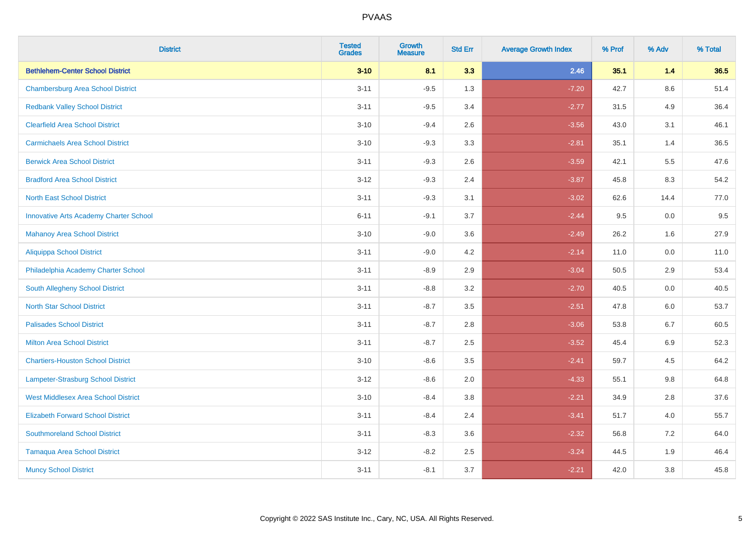| <b>District</b>                               | <b>Tested</b><br><b>Grades</b> | <b>Growth</b><br><b>Measure</b> | <b>Std Err</b> | <b>Average Growth Index</b> | % Prof | % Adv   | % Total |
|-----------------------------------------------|--------------------------------|---------------------------------|----------------|-----------------------------|--------|---------|---------|
| <b>Bethlehem-Center School District</b>       | $3 - 10$                       | 8.1                             | 3.3            | 2.46                        | 35.1   | 1.4     | 36.5    |
| <b>Chambersburg Area School District</b>      | $3 - 11$                       | $-9.5$                          | 1.3            | $-7.20$                     | 42.7   | $8.6\,$ | 51.4    |
| <b>Redbank Valley School District</b>         | $3 - 11$                       | $-9.5$                          | 3.4            | $-2.77$                     | 31.5   | 4.9     | 36.4    |
| <b>Clearfield Area School District</b>        | $3 - 10$                       | $-9.4$                          | 2.6            | $-3.56$                     | 43.0   | 3.1     | 46.1    |
| <b>Carmichaels Area School District</b>       | $3 - 10$                       | $-9.3$                          | 3.3            | $-2.81$                     | 35.1   | 1.4     | 36.5    |
| <b>Berwick Area School District</b>           | $3 - 11$                       | $-9.3$                          | 2.6            | $-3.59$                     | 42.1   | 5.5     | 47.6    |
| <b>Bradford Area School District</b>          | $3 - 12$                       | $-9.3$                          | 2.4            | $-3.87$                     | 45.8   | 8.3     | 54.2    |
| <b>North East School District</b>             | $3 - 11$                       | $-9.3$                          | 3.1            | $-3.02$                     | 62.6   | 14.4    | 77.0    |
| <b>Innovative Arts Academy Charter School</b> | $6 - 11$                       | $-9.1$                          | 3.7            | $-2.44$                     | 9.5    | 0.0     | 9.5     |
| <b>Mahanoy Area School District</b>           | $3 - 10$                       | $-9.0$                          | 3.6            | $-2.49$                     | 26.2   | 1.6     | 27.9    |
| Aliquippa School District                     | $3 - 11$                       | $-9.0$                          | 4.2            | $-2.14$                     | 11.0   | 0.0     | 11.0    |
| Philadelphia Academy Charter School           | $3 - 11$                       | $-8.9$                          | 2.9            | $-3.04$                     | 50.5   | 2.9     | 53.4    |
| South Allegheny School District               | $3 - 11$                       | $-8.8$                          | 3.2            | $-2.70$                     | 40.5   | 0.0     | 40.5    |
| <b>North Star School District</b>             | $3 - 11$                       | $-8.7$                          | 3.5            | $-2.51$                     | 47.8   | 6.0     | 53.7    |
| <b>Palisades School District</b>              | $3 - 11$                       | $-8.7$                          | 2.8            | $-3.06$                     | 53.8   | 6.7     | 60.5    |
| <b>Milton Area School District</b>            | $3 - 11$                       | $-8.7$                          | 2.5            | $-3.52$                     | 45.4   | $6.9\,$ | 52.3    |
| <b>Chartiers-Houston School District</b>      | $3 - 10$                       | $-8.6$                          | 3.5            | $-2.41$                     | 59.7   | 4.5     | 64.2    |
| Lampeter-Strasburg School District            | $3 - 12$                       | $-8.6$                          | 2.0            | $-4.33$                     | 55.1   | 9.8     | 64.8    |
| <b>West Middlesex Area School District</b>    | $3 - 10$                       | $-8.4$                          | 3.8            | $-2.21$                     | 34.9   | 2.8     | 37.6    |
| <b>Elizabeth Forward School District</b>      | $3 - 11$                       | $-8.4$                          | 2.4            | $-3.41$                     | 51.7   | 4.0     | 55.7    |
| <b>Southmoreland School District</b>          | $3 - 11$                       | $-8.3$                          | 3.6            | $-2.32$                     | 56.8   | 7.2     | 64.0    |
| <b>Tamaqua Area School District</b>           | $3 - 12$                       | $-8.2$                          | 2.5            | $-3.24$                     | 44.5   | 1.9     | 46.4    |
| <b>Muncy School District</b>                  | $3 - 11$                       | $-8.1$                          | 3.7            | $-2.21$                     | 42.0   | 3.8     | 45.8    |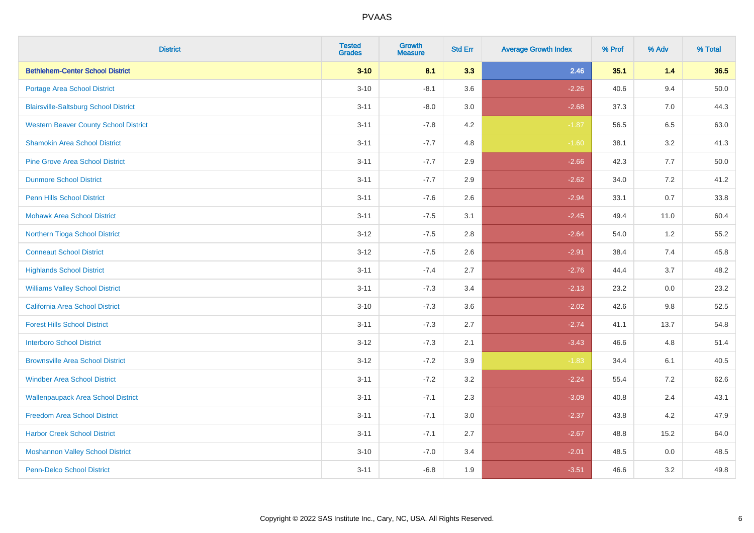| <b>District</b>                              | <b>Tested</b><br><b>Grades</b> | <b>Growth</b><br><b>Measure</b> | <b>Std Err</b> | <b>Average Growth Index</b> | % Prof | % Adv | % Total  |
|----------------------------------------------|--------------------------------|---------------------------------|----------------|-----------------------------|--------|-------|----------|
| <b>Bethlehem-Center School District</b>      | $3 - 10$                       | 8.1                             | 3.3            | 2.46                        | 35.1   | 1.4   | 36.5     |
| <b>Portage Area School District</b>          | $3 - 10$                       | $-8.1$                          | 3.6            | $-2.26$                     | 40.6   | 9.4   | $50.0\,$ |
| <b>Blairsville-Saltsburg School District</b> | $3 - 11$                       | $-8.0$                          | 3.0            | $-2.68$                     | 37.3   | 7.0   | 44.3     |
| <b>Western Beaver County School District</b> | $3 - 11$                       | $-7.8$                          | 4.2            | $-1.87$                     | 56.5   | 6.5   | 63.0     |
| <b>Shamokin Area School District</b>         | $3 - 11$                       | $-7.7$                          | 4.8            | $-1.60$                     | 38.1   | 3.2   | 41.3     |
| <b>Pine Grove Area School District</b>       | $3 - 11$                       | $-7.7$                          | 2.9            | $-2.66$                     | 42.3   | 7.7   | 50.0     |
| <b>Dunmore School District</b>               | $3 - 11$                       | $-7.7$                          | 2.9            | $-2.62$                     | 34.0   | 7.2   | 41.2     |
| <b>Penn Hills School District</b>            | $3 - 11$                       | $-7.6$                          | 2.6            | $-2.94$                     | 33.1   | 0.7   | 33.8     |
| <b>Mohawk Area School District</b>           | $3 - 11$                       | $-7.5$                          | 3.1            | $-2.45$                     | 49.4   | 11.0  | 60.4     |
| Northern Tioga School District               | $3 - 12$                       | $-7.5$                          | 2.8            | $-2.64$                     | 54.0   | 1.2   | 55.2     |
| <b>Conneaut School District</b>              | $3 - 12$                       | $-7.5$                          | 2.6            | $-2.91$                     | 38.4   | 7.4   | 45.8     |
| <b>Highlands School District</b>             | $3 - 11$                       | $-7.4$                          | 2.7            | $-2.76$                     | 44.4   | 3.7   | 48.2     |
| <b>Williams Valley School District</b>       | $3 - 11$                       | $-7.3$                          | 3.4            | $-2.13$                     | 23.2   | 0.0   | 23.2     |
| <b>California Area School District</b>       | $3 - 10$                       | $-7.3$                          | 3.6            | $-2.02$                     | 42.6   | 9.8   | 52.5     |
| <b>Forest Hills School District</b>          | $3 - 11$                       | $-7.3$                          | 2.7            | $-2.74$                     | 41.1   | 13.7  | 54.8     |
| <b>Interboro School District</b>             | $3 - 12$                       | $-7.3$                          | 2.1            | $-3.43$                     | 46.6   | 4.8   | 51.4     |
| <b>Brownsville Area School District</b>      | $3 - 12$                       | $-7.2$                          | 3.9            | $-1.83$                     | 34.4   | 6.1   | 40.5     |
| <b>Windber Area School District</b>          | $3 - 11$                       | $-7.2$                          | 3.2            | $-2.24$                     | 55.4   | 7.2   | 62.6     |
| <b>Wallenpaupack Area School District</b>    | $3 - 11$                       | $-7.1$                          | 2.3            | $-3.09$                     | 40.8   | 2.4   | 43.1     |
| <b>Freedom Area School District</b>          | $3 - 11$                       | $-7.1$                          | 3.0            | $-2.37$                     | 43.8   | 4.2   | 47.9     |
| <b>Harbor Creek School District</b>          | $3 - 11$                       | $-7.1$                          | 2.7            | $-2.67$                     | 48.8   | 15.2  | 64.0     |
| <b>Moshannon Valley School District</b>      | $3 - 10$                       | $-7.0$                          | 3.4            | $-2.01$                     | 48.5   | 0.0   | 48.5     |
| <b>Penn-Delco School District</b>            | $3 - 11$                       | $-6.8$                          | 1.9            | $-3.51$                     | 46.6   | 3.2   | 49.8     |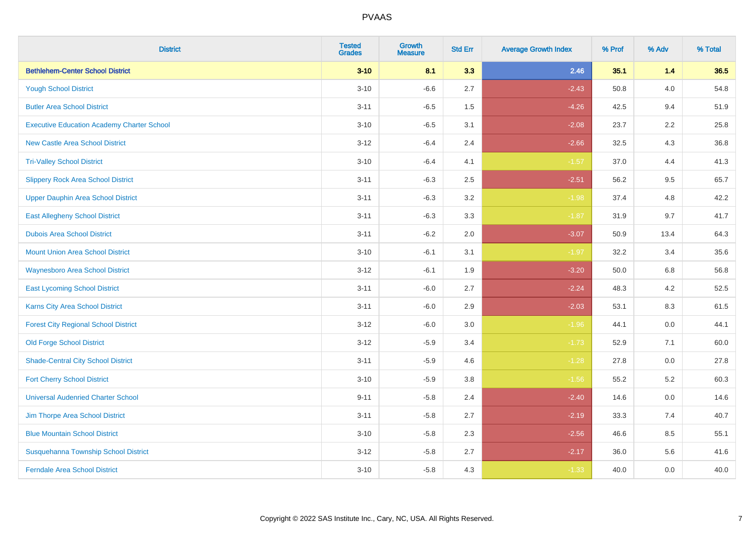| <b>District</b>                                   | <b>Tested</b><br><b>Grades</b> | <b>Growth</b><br><b>Measure</b> | <b>Std Err</b> | <b>Average Growth Index</b> | % Prof | % Adv | % Total |
|---------------------------------------------------|--------------------------------|---------------------------------|----------------|-----------------------------|--------|-------|---------|
| <b>Bethlehem-Center School District</b>           | $3 - 10$                       | 8.1                             | 3.3            | 2.46                        | 35.1   | $1.4$ | 36.5    |
| <b>Yough School District</b>                      | $3 - 10$                       | $-6.6$                          | 2.7            | $-2.43$                     | 50.8   | 4.0   | 54.8    |
| <b>Butler Area School District</b>                | $3 - 11$                       | $-6.5$                          | 1.5            | $-4.26$                     | 42.5   | 9.4   | 51.9    |
| <b>Executive Education Academy Charter School</b> | $3 - 10$                       | $-6.5$                          | 3.1            | $-2.08$                     | 23.7   | 2.2   | 25.8    |
| <b>New Castle Area School District</b>            | $3 - 12$                       | $-6.4$                          | 2.4            | $-2.66$                     | 32.5   | 4.3   | 36.8    |
| <b>Tri-Valley School District</b>                 | $3 - 10$                       | $-6.4$                          | 4.1            | $-1.57$                     | 37.0   | 4.4   | 41.3    |
| <b>Slippery Rock Area School District</b>         | $3 - 11$                       | $-6.3$                          | 2.5            | $-2.51$                     | 56.2   | 9.5   | 65.7    |
| <b>Upper Dauphin Area School District</b>         | $3 - 11$                       | $-6.3$                          | 3.2            | $-1.98$                     | 37.4   | 4.8   | 42.2    |
| <b>East Allegheny School District</b>             | $3 - 11$                       | $-6.3$                          | 3.3            | $-1.87$                     | 31.9   | 9.7   | 41.7    |
| <b>Dubois Area School District</b>                | $3 - 11$                       | $-6.2$                          | 2.0            | $-3.07$                     | 50.9   | 13.4  | 64.3    |
| <b>Mount Union Area School District</b>           | $3 - 10$                       | $-6.1$                          | 3.1            | $-1.97$                     | 32.2   | 3.4   | 35.6    |
| <b>Waynesboro Area School District</b>            | $3 - 12$                       | $-6.1$                          | 1.9            | $-3.20$                     | 50.0   | 6.8   | 56.8    |
| <b>East Lycoming School District</b>              | $3 - 11$                       | $-6.0$                          | 2.7            | $-2.24$                     | 48.3   | 4.2   | 52.5    |
| Karns City Area School District                   | $3 - 11$                       | $-6.0$                          | 2.9            | $-2.03$                     | 53.1   | 8.3   | 61.5    |
| <b>Forest City Regional School District</b>       | $3 - 12$                       | $-6.0$                          | 3.0            | $-1.96$                     | 44.1   | 0.0   | 44.1    |
| <b>Old Forge School District</b>                  | $3-12$                         | $-5.9$                          | 3.4            | $-1.73$                     | 52.9   | 7.1   | 60.0    |
| <b>Shade-Central City School District</b>         | $3 - 11$                       | $-5.9$                          | 4.6            | $-1.28$                     | 27.8   | 0.0   | 27.8    |
| <b>Fort Cherry School District</b>                | $3 - 10$                       | $-5.9$                          | 3.8            | $-1.56$                     | 55.2   | 5.2   | 60.3    |
| <b>Universal Audenried Charter School</b>         | $9 - 11$                       | $-5.8$                          | 2.4            | $-2.40$                     | 14.6   | 0.0   | 14.6    |
| Jim Thorpe Area School District                   | $3 - 11$                       | $-5.8$                          | 2.7            | $-2.19$                     | 33.3   | 7.4   | 40.7    |
| <b>Blue Mountain School District</b>              | $3 - 10$                       | $-5.8$                          | 2.3            | $-2.56$                     | 46.6   | 8.5   | 55.1    |
| Susquehanna Township School District              | $3 - 12$                       | $-5.8$                          | 2.7            | $-2.17$                     | 36.0   | 5.6   | 41.6    |
| <b>Ferndale Area School District</b>              | $3 - 10$                       | $-5.8$                          | 4.3            | $-1.33$                     | 40.0   | 0.0   | 40.0    |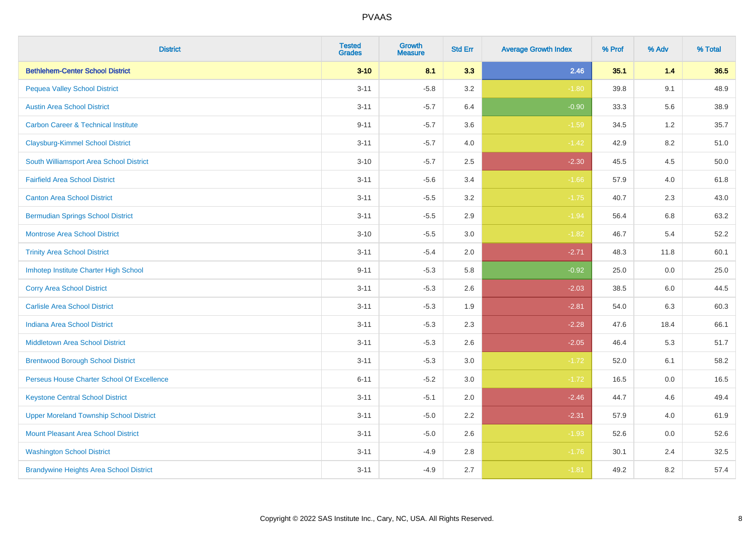| <b>District</b>                                | <b>Tested</b><br><b>Grades</b> | <b>Growth</b><br><b>Measure</b> | <b>Std Err</b> | <b>Average Growth Index</b> | % Prof | % Adv | % Total |
|------------------------------------------------|--------------------------------|---------------------------------|----------------|-----------------------------|--------|-------|---------|
| <b>Bethlehem-Center School District</b>        | $3 - 10$                       | 8.1                             | 3.3            | 2.46                        | 35.1   | $1.4$ | 36.5    |
| <b>Pequea Valley School District</b>           | $3 - 11$                       | $-5.8$                          | 3.2            | $-1.80$                     | 39.8   | 9.1   | 48.9    |
| <b>Austin Area School District</b>             | $3 - 11$                       | $-5.7$                          | 6.4            | $-0.90$                     | 33.3   | 5.6   | 38.9    |
| <b>Carbon Career &amp; Technical Institute</b> | $9 - 11$                       | $-5.7$                          | 3.6            | $-1.59$                     | 34.5   | 1.2   | 35.7    |
| <b>Claysburg-Kimmel School District</b>        | $3 - 11$                       | $-5.7$                          | 4.0            | $-1.42$                     | 42.9   | 8.2   | 51.0    |
| South Williamsport Area School District        | $3 - 10$                       | $-5.7$                          | 2.5            | $-2.30$                     | 45.5   | 4.5   | 50.0    |
| <b>Fairfield Area School District</b>          | $3 - 11$                       | $-5.6$                          | 3.4            | $-1.66$                     | 57.9   | 4.0   | 61.8    |
| <b>Canton Area School District</b>             | $3 - 11$                       | $-5.5$                          | 3.2            | $-1.75$                     | 40.7   | 2.3   | 43.0    |
| <b>Bermudian Springs School District</b>       | $3 - 11$                       | $-5.5$                          | 2.9            | $-1.94$                     | 56.4   | 6.8   | 63.2    |
| <b>Montrose Area School District</b>           | $3 - 10$                       | $-5.5$                          | 3.0            | $-1.82$                     | 46.7   | 5.4   | 52.2    |
| <b>Trinity Area School District</b>            | $3 - 11$                       | $-5.4$                          | 2.0            | $-2.71$                     | 48.3   | 11.8  | 60.1    |
| Imhotep Institute Charter High School          | $9 - 11$                       | $-5.3$                          | 5.8            | $-0.92$                     | 25.0   | 0.0   | 25.0    |
| <b>Corry Area School District</b>              | $3 - 11$                       | $-5.3$                          | 2.6            | $-2.03$                     | 38.5   | 6.0   | 44.5    |
| <b>Carlisle Area School District</b>           | $3 - 11$                       | $-5.3$                          | 1.9            | $-2.81$                     | 54.0   | 6.3   | 60.3    |
| <b>Indiana Area School District</b>            | $3 - 11$                       | $-5.3$                          | 2.3            | $-2.28$                     | 47.6   | 18.4  | 66.1    |
| <b>Middletown Area School District</b>         | $3 - 11$                       | $-5.3$                          | 2.6            | $-2.05$                     | 46.4   | 5.3   | 51.7    |
| <b>Brentwood Borough School District</b>       | $3 - 11$                       | $-5.3$                          | 3.0            | $-1.72$                     | 52.0   | 6.1   | 58.2    |
| Perseus House Charter School Of Excellence     | $6 - 11$                       | $-5.2$                          | 3.0            | $-1.72$                     | 16.5   | 0.0   | 16.5    |
| <b>Keystone Central School District</b>        | $3 - 11$                       | $-5.1$                          | 2.0            | $-2.46$                     | 44.7   | 4.6   | 49.4    |
| <b>Upper Moreland Township School District</b> | $3 - 11$                       | $-5.0$                          | 2.2            | $-2.31$                     | 57.9   | 4.0   | 61.9    |
| <b>Mount Pleasant Area School District</b>     | $3 - 11$                       | $-5.0$                          | 2.6            | $-1.93$                     | 52.6   | 0.0   | 52.6    |
| <b>Washington School District</b>              | $3 - 11$                       | $-4.9$                          | 2.8            | $-1.76$                     | 30.1   | 2.4   | 32.5    |
| <b>Brandywine Heights Area School District</b> | $3 - 11$                       | $-4.9$                          | 2.7            | $-1.81$                     | 49.2   | 8.2   | 57.4    |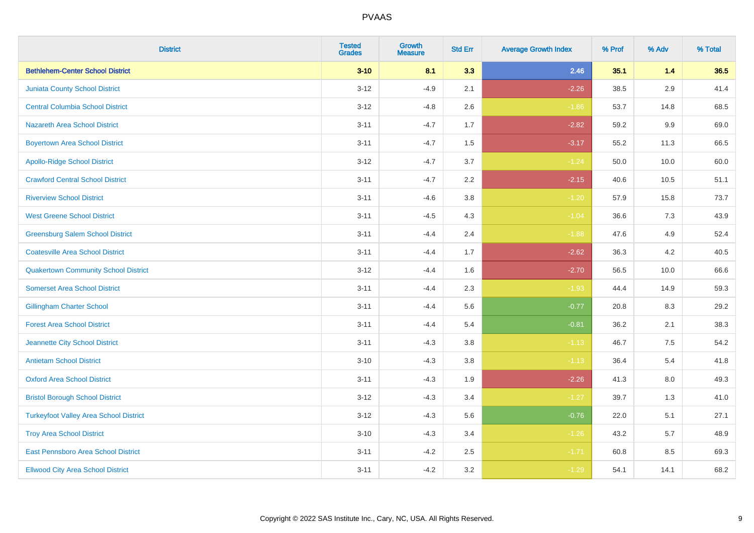| <b>District</b>                               | <b>Tested</b><br><b>Grades</b> | Growth<br><b>Measure</b> | <b>Std Err</b> | <b>Average Growth Index</b> | % Prof | % Adv | % Total |
|-----------------------------------------------|--------------------------------|--------------------------|----------------|-----------------------------|--------|-------|---------|
| <b>Bethlehem-Center School District</b>       | $3 - 10$                       | 8.1                      | 3.3            | 2.46                        | 35.1   | 1.4   | 36.5    |
| <b>Juniata County School District</b>         | $3-12$                         | $-4.9$                   | 2.1            | $-2.26$                     | 38.5   | 2.9   | 41.4    |
| <b>Central Columbia School District</b>       | $3 - 12$                       | $-4.8$                   | 2.6            | $-1.86$                     | 53.7   | 14.8  | 68.5    |
| <b>Nazareth Area School District</b>          | $3 - 11$                       | $-4.7$                   | 1.7            | $-2.82$                     | 59.2   | 9.9   | 69.0    |
| <b>Boyertown Area School District</b>         | $3 - 11$                       | $-4.7$                   | 1.5            | $-3.17$                     | 55.2   | 11.3  | 66.5    |
| <b>Apollo-Ridge School District</b>           | $3 - 12$                       | $-4.7$                   | 3.7            | $-1.24$                     | 50.0   | 10.0  | 60.0    |
| <b>Crawford Central School District</b>       | $3 - 11$                       | $-4.7$                   | 2.2            | $-2.15$                     | 40.6   | 10.5  | 51.1    |
| <b>Riverview School District</b>              | $3 - 11$                       | $-4.6$                   | 3.8            | $-1.20$                     | 57.9   | 15.8  | 73.7    |
| <b>West Greene School District</b>            | $3 - 11$                       | $-4.5$                   | 4.3            | $-1.04$                     | 36.6   | 7.3   | 43.9    |
| <b>Greensburg Salem School District</b>       | $3 - 11$                       | $-4.4$                   | 2.4            | $-1.88$                     | 47.6   | 4.9   | 52.4    |
| <b>Coatesville Area School District</b>       | $3 - 11$                       | $-4.4$                   | 1.7            | $-2.62$                     | 36.3   | 4.2   | 40.5    |
| <b>Quakertown Community School District</b>   | $3 - 12$                       | $-4.4$                   | 1.6            | $-2.70$                     | 56.5   | 10.0  | 66.6    |
| <b>Somerset Area School District</b>          | $3 - 11$                       | $-4.4$                   | 2.3            | $-1.93$                     | 44.4   | 14.9  | 59.3    |
| <b>Gillingham Charter School</b>              | $3 - 11$                       | $-4.4$                   | 5.6            | $-0.77$                     | 20.8   | 8.3   | 29.2    |
| <b>Forest Area School District</b>            | $3 - 11$                       | $-4.4$                   | 5.4            | $-0.81$                     | 36.2   | 2.1   | 38.3    |
| Jeannette City School District                | $3 - 11$                       | $-4.3$                   | 3.8            | $-1.13$                     | 46.7   | 7.5   | 54.2    |
| <b>Antietam School District</b>               | $3 - 10$                       | $-4.3$                   | 3.8            | $-1.13$                     | 36.4   | 5.4   | 41.8    |
| <b>Oxford Area School District</b>            | $3 - 11$                       | $-4.3$                   | 1.9            | $-2.26$                     | 41.3   | 8.0   | 49.3    |
| <b>Bristol Borough School District</b>        | $3 - 12$                       | $-4.3$                   | 3.4            | $-1.27$                     | 39.7   | 1.3   | 41.0    |
| <b>Turkeyfoot Valley Area School District</b> | $3 - 12$                       | $-4.3$                   | 5.6            | $-0.76$                     | 22.0   | 5.1   | 27.1    |
| <b>Troy Area School District</b>              | $3 - 10$                       | $-4.3$                   | 3.4            | $-1.26$                     | 43.2   | 5.7   | 48.9    |
| East Pennsboro Area School District           | $3 - 11$                       | $-4.2$                   | 2.5            | $-1.71$                     | 60.8   | 8.5   | 69.3    |
| <b>Ellwood City Area School District</b>      | $3 - 11$                       | $-4.2$                   | 3.2            | $-1.29$                     | 54.1   | 14.1  | 68.2    |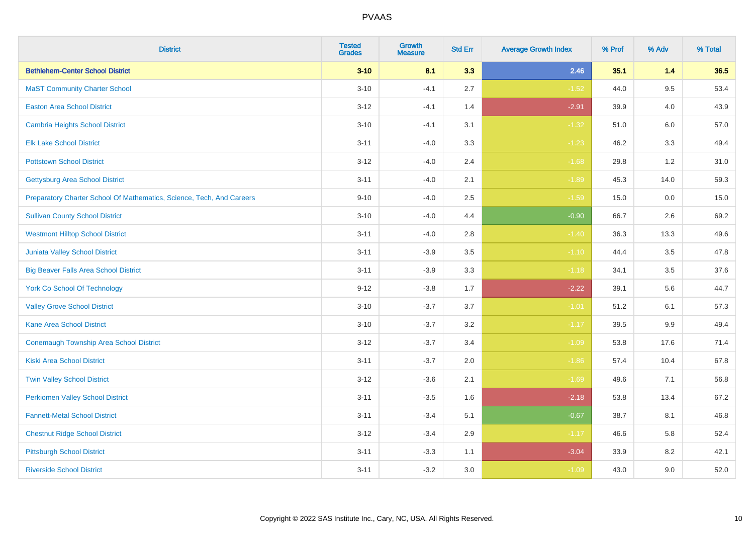| <b>District</b>                                                       | <b>Tested</b><br><b>Grades</b> | <b>Growth</b><br><b>Measure</b> | <b>Std Err</b> | <b>Average Growth Index</b> | % Prof | % Adv   | % Total |
|-----------------------------------------------------------------------|--------------------------------|---------------------------------|----------------|-----------------------------|--------|---------|---------|
| <b>Bethlehem-Center School District</b>                               | $3 - 10$                       | 8.1                             | 3.3            | 2.46                        | 35.1   | 1.4     | 36.5    |
| <b>MaST Community Charter School</b>                                  | $3 - 10$                       | $-4.1$                          | 2.7            | $-1.52$                     | 44.0   | 9.5     | 53.4    |
| <b>Easton Area School District</b>                                    | $3 - 12$                       | $-4.1$                          | 1.4            | $-2.91$                     | 39.9   | 4.0     | 43.9    |
| <b>Cambria Heights School District</b>                                | $3 - 10$                       | $-4.1$                          | 3.1            | $-1.32$                     | 51.0   | $6.0\,$ | 57.0    |
| <b>Elk Lake School District</b>                                       | $3 - 11$                       | $-4.0$                          | 3.3            | $-1.23$                     | 46.2   | 3.3     | 49.4    |
| <b>Pottstown School District</b>                                      | $3 - 12$                       | $-4.0$                          | 2.4            | $-1.68$                     | 29.8   | 1.2     | 31.0    |
| <b>Gettysburg Area School District</b>                                | $3 - 11$                       | $-4.0$                          | 2.1            | $-1.89$                     | 45.3   | 14.0    | 59.3    |
| Preparatory Charter School Of Mathematics, Science, Tech, And Careers | $9 - 10$                       | $-4.0$                          | 2.5            | $-1.59$                     | 15.0   | 0.0     | 15.0    |
| <b>Sullivan County School District</b>                                | $3 - 10$                       | $-4.0$                          | 4.4            | $-0.90$                     | 66.7   | 2.6     | 69.2    |
| <b>Westmont Hilltop School District</b>                               | $3 - 11$                       | $-4.0$                          | 2.8            | $-1.40$                     | 36.3   | 13.3    | 49.6    |
| <b>Juniata Valley School District</b>                                 | $3 - 11$                       | $-3.9$                          | 3.5            | $-1.10$                     | 44.4   | 3.5     | 47.8    |
| <b>Big Beaver Falls Area School District</b>                          | $3 - 11$                       | $-3.9$                          | 3.3            | $-1.18$                     | 34.1   | 3.5     | 37.6    |
| <b>York Co School Of Technology</b>                                   | $9 - 12$                       | $-3.8$                          | 1.7            | $-2.22$                     | 39.1   | 5.6     | 44.7    |
| <b>Valley Grove School District</b>                                   | $3 - 10$                       | $-3.7$                          | 3.7            | $-1.01$                     | 51.2   | 6.1     | 57.3    |
| <b>Kane Area School District</b>                                      | $3 - 10$                       | $-3.7$                          | 3.2            | $-1.17$                     | 39.5   | 9.9     | 49.4    |
| <b>Conemaugh Township Area School District</b>                        | $3 - 12$                       | $-3.7$                          | 3.4            | $-1.09$                     | 53.8   | 17.6    | 71.4    |
| <b>Kiski Area School District</b>                                     | $3 - 11$                       | $-3.7$                          | 2.0            | $-1.86$                     | 57.4   | 10.4    | 67.8    |
| <b>Twin Valley School District</b>                                    | $3 - 12$                       | $-3.6$                          | 2.1            | $-1.69$                     | 49.6   | 7.1     | 56.8    |
| <b>Perkiomen Valley School District</b>                               | $3 - 11$                       | $-3.5$                          | 1.6            | $-2.18$                     | 53.8   | 13.4    | 67.2    |
| <b>Fannett-Metal School District</b>                                  | $3 - 11$                       | $-3.4$                          | 5.1            | $-0.67$                     | 38.7   | 8.1     | 46.8    |
| <b>Chestnut Ridge School District</b>                                 | $3 - 12$                       | $-3.4$                          | 2.9            | $-1.17$                     | 46.6   | 5.8     | 52.4    |
| <b>Pittsburgh School District</b>                                     | $3 - 11$                       | $-3.3$                          | 1.1            | $-3.04$                     | 33.9   | 8.2     | 42.1    |
| <b>Riverside School District</b>                                      | $3 - 11$                       | $-3.2$                          | 3.0            | $-1.09$                     | 43.0   | 9.0     | 52.0    |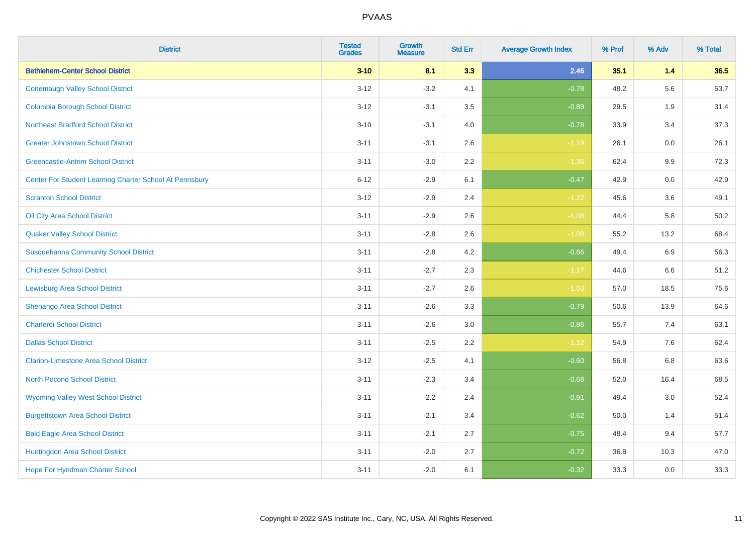| <b>District</b>                                         | <b>Tested</b><br><b>Grades</b> | <b>Growth</b><br><b>Measure</b> | <b>Std Err</b> | <b>Average Growth Index</b> | % Prof | % Adv   | % Total |
|---------------------------------------------------------|--------------------------------|---------------------------------|----------------|-----------------------------|--------|---------|---------|
| <b>Bethlehem-Center School District</b>                 | $3 - 10$                       | 8.1                             | 3.3            | 2.46                        | 35.1   | 1.4     | 36.5    |
| <b>Conemaugh Valley School District</b>                 | $3 - 12$                       | $-3.2$                          | 4.1            | $-0.78$                     | 48.2   | 5.6     | 53.7    |
| <b>Columbia Borough School District</b>                 | $3 - 12$                       | $-3.1$                          | 3.5            | $-0.89$                     | 29.5   | 1.9     | 31.4    |
| <b>Northeast Bradford School District</b>               | $3 - 10$                       | $-3.1$                          | 4.0            | $-0.78$                     | 33.9   | 3.4     | 37.3    |
| <b>Greater Johnstown School District</b>                | $3 - 11$                       | $-3.1$                          | 2.6            | $-1.19$                     | 26.1   | 0.0     | 26.1    |
| <b>Greencastle-Antrim School District</b>               | $3 - 11$                       | $-3.0$                          | 2.2            | $-1.36$                     | 62.4   | 9.9     | 72.3    |
| Center For Student Learning Charter School At Pennsbury | $6 - 12$                       | $-2.9$                          | 6.1            | $-0.47$                     | 42.9   | 0.0     | 42.9    |
| <b>Scranton School District</b>                         | $3 - 12$                       | $-2.9$                          | 2.4            | $-1.22$                     | 45.6   | 3.6     | 49.1    |
| Oil City Area School District                           | $3 - 11$                       | $-2.9$                          | 2.6            | $-1.08$                     | 44.4   | 5.8     | 50.2    |
| <b>Quaker Valley School District</b>                    | $3 - 11$                       | $-2.8$                          | 2.6            | $-1.08$                     | 55.2   | 13.2    | 68.4    |
| <b>Susquehanna Community School District</b>            | $3 - 11$                       | $-2.8$                          | 4.2            | $-0.66$                     | 49.4   | 6.9     | 56.3    |
| <b>Chichester School District</b>                       | $3 - 11$                       | $-2.7$                          | 2.3            | $-1.17$                     | 44.6   | 6.6     | 51.2    |
| <b>Lewisburg Area School District</b>                   | $3 - 11$                       | $-2.7$                          | 2.6            | $-1.03$                     | 57.0   | 18.5    | 75.6    |
| Shenango Area School District                           | $3 - 11$                       | $-2.6$                          | 3.3            | $-0.79$                     | 50.6   | 13.9    | 64.6    |
| <b>Charleroi School District</b>                        | $3 - 11$                       | $-2.6$                          | 3.0            | $-0.86$                     | 55.7   | 7.4     | 63.1    |
| <b>Dallas School District</b>                           | $3 - 11$                       | $-2.5$                          | 2.2            | $-1.12$                     | 54.9   | $7.6\,$ | 62.4    |
| <b>Clarion-Limestone Area School District</b>           | $3 - 12$                       | $-2.5$                          | 4.1            | $-0.60$                     | 56.8   | 6.8     | 63.6    |
| North Pocono School District                            | $3 - 11$                       | $-2.3$                          | 3.4            | $-0.68$                     | 52.0   | 16.4    | 68.5    |
| <b>Wyoming Valley West School District</b>              | $3 - 11$                       | $-2.2$                          | 2.4            | $-0.91$                     | 49.4   | 3.0     | 52.4    |
| <b>Burgettstown Area School District</b>                | $3 - 11$                       | $-2.1$                          | 3.4            | $-0.62$                     | 50.0   | 1.4     | 51.4    |
| <b>Bald Eagle Area School District</b>                  | $3 - 11$                       | $-2.1$                          | 2.7            | $-0.75$                     | 48.4   | 9.4     | 57.7    |
| Huntingdon Area School District                         | $3 - 11$                       | $-2.0$                          | 2.7            | $-0.72$                     | 36.8   | 10.3    | 47.0    |
| <b>Hope For Hyndman Charter School</b>                  | $3 - 11$                       | $-2.0$                          | 6.1            | $-0.32$                     | 33.3   | 0.0     | 33.3    |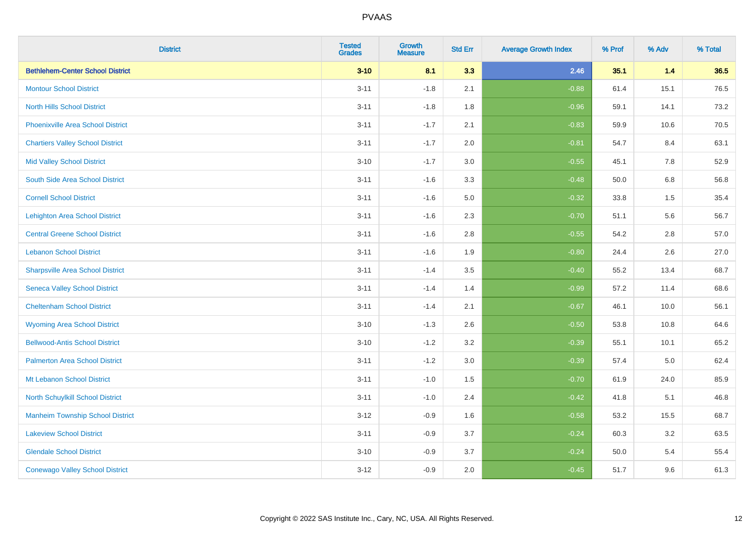| <b>District</b>                          | <b>Tested</b><br><b>Grades</b> | <b>Growth</b><br><b>Measure</b> | <b>Std Err</b> | <b>Average Growth Index</b> | % Prof | % Adv | % Total |
|------------------------------------------|--------------------------------|---------------------------------|----------------|-----------------------------|--------|-------|---------|
| <b>Bethlehem-Center School District</b>  | $3 - 10$                       | 8.1                             | 3.3            | 2.46                        | 35.1   | 1.4   | 36.5    |
| <b>Montour School District</b>           | $3 - 11$                       | $-1.8$                          | 2.1            | $-0.88$                     | 61.4   | 15.1  | 76.5    |
| <b>North Hills School District</b>       | $3 - 11$                       | $-1.8$                          | 1.8            | $-0.96$                     | 59.1   | 14.1  | 73.2    |
| <b>Phoenixville Area School District</b> | $3 - 11$                       | $-1.7$                          | 2.1            | $-0.83$                     | 59.9   | 10.6  | 70.5    |
| <b>Chartiers Valley School District</b>  | $3 - 11$                       | $-1.7$                          | 2.0            | $-0.81$                     | 54.7   | 8.4   | 63.1    |
| <b>Mid Valley School District</b>        | $3 - 10$                       | $-1.7$                          | 3.0            | $-0.55$                     | 45.1   | 7.8   | 52.9    |
| South Side Area School District          | $3 - 11$                       | $-1.6$                          | 3.3            | $-0.48$                     | 50.0   | 6.8   | 56.8    |
| <b>Cornell School District</b>           | $3 - 11$                       | $-1.6$                          | 5.0            | $-0.32$                     | 33.8   | 1.5   | 35.4    |
| <b>Lehighton Area School District</b>    | $3 - 11$                       | $-1.6$                          | 2.3            | $-0.70$                     | 51.1   | 5.6   | 56.7    |
| <b>Central Greene School District</b>    | $3 - 11$                       | $-1.6$                          | 2.8            | $-0.55$                     | 54.2   | 2.8   | 57.0    |
| <b>Lebanon School District</b>           | $3 - 11$                       | $-1.6$                          | 1.9            | $-0.80$                     | 24.4   | 2.6   | 27.0    |
| <b>Sharpsville Area School District</b>  | $3 - 11$                       | $-1.4$                          | 3.5            | $-0.40$                     | 55.2   | 13.4  | 68.7    |
| <b>Seneca Valley School District</b>     | $3 - 11$                       | $-1.4$                          | 1.4            | $-0.99$                     | 57.2   | 11.4  | 68.6    |
| <b>Cheltenham School District</b>        | $3 - 11$                       | $-1.4$                          | 2.1            | $-0.67$                     | 46.1   | 10.0  | 56.1    |
| <b>Wyoming Area School District</b>      | $3 - 10$                       | $-1.3$                          | 2.6            | $-0.50$                     | 53.8   | 10.8  | 64.6    |
| <b>Bellwood-Antis School District</b>    | $3 - 10$                       | $-1.2$                          | 3.2            | $-0.39$                     | 55.1   | 10.1  | 65.2    |
| <b>Palmerton Area School District</b>    | $3 - 11$                       | $-1.2$                          | 3.0            | $-0.39$                     | 57.4   | 5.0   | 62.4    |
| Mt Lebanon School District               | $3 - 11$                       | $-1.0$                          | 1.5            | $-0.70$                     | 61.9   | 24.0  | 85.9    |
| <b>North Schuylkill School District</b>  | $3 - 11$                       | $-1.0$                          | 2.4            | $-0.42$                     | 41.8   | 5.1   | 46.8    |
| <b>Manheim Township School District</b>  | $3 - 12$                       | $-0.9$                          | 1.6            | $-0.58$                     | 53.2   | 15.5  | 68.7    |
| <b>Lakeview School District</b>          | $3 - 11$                       | $-0.9$                          | 3.7            | $-0.24$                     | 60.3   | 3.2   | 63.5    |
| <b>Glendale School District</b>          | $3 - 10$                       | $-0.9$                          | 3.7            | $-0.24$                     | 50.0   | 5.4   | 55.4    |
| <b>Conewago Valley School District</b>   | $3 - 12$                       | $-0.9$                          | 2.0            | $-0.45$                     | 51.7   | 9.6   | 61.3    |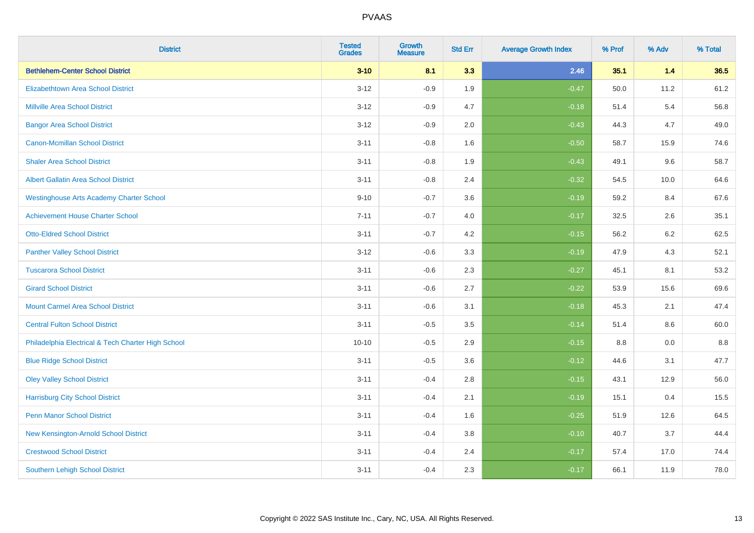| <b>District</b>                                    | <b>Tested</b><br><b>Grades</b> | <b>Growth</b><br><b>Measure</b> | <b>Std Err</b> | <b>Average Growth Index</b> | % Prof | % Adv   | % Total |
|----------------------------------------------------|--------------------------------|---------------------------------|----------------|-----------------------------|--------|---------|---------|
| <b>Bethlehem-Center School District</b>            | $3 - 10$                       | 8.1                             | 3.3            | 2.46                        | 35.1   | 1.4     | 36.5    |
| <b>Elizabethtown Area School District</b>          | $3 - 12$                       | $-0.9$                          | 1.9            | $-0.47$                     | 50.0   | 11.2    | 61.2    |
| <b>Millville Area School District</b>              | $3 - 12$                       | $-0.9$                          | 4.7            | $-0.18$                     | 51.4   | 5.4     | 56.8    |
| <b>Bangor Area School District</b>                 | $3 - 12$                       | $-0.9$                          | 2.0            | $-0.43$                     | 44.3   | 4.7     | 49.0    |
| <b>Canon-Mcmillan School District</b>              | $3 - 11$                       | $-0.8$                          | 1.6            | $-0.50$                     | 58.7   | 15.9    | 74.6    |
| <b>Shaler Area School District</b>                 | $3 - 11$                       | $-0.8$                          | 1.9            | $-0.43$                     | 49.1   | 9.6     | 58.7    |
| <b>Albert Gallatin Area School District</b>        | $3 - 11$                       | $-0.8$                          | 2.4            | $-0.32$                     | 54.5   | 10.0    | 64.6    |
| <b>Westinghouse Arts Academy Charter School</b>    | $9 - 10$                       | $-0.7$                          | 3.6            | $-0.19$                     | 59.2   | 8.4     | 67.6    |
| <b>Achievement House Charter School</b>            | $7 - 11$                       | $-0.7$                          | 4.0            | $-0.17$                     | 32.5   | 2.6     | 35.1    |
| <b>Otto-Eldred School District</b>                 | $3 - 11$                       | $-0.7$                          | 4.2            | $-0.15$                     | 56.2   | $6.2\,$ | 62.5    |
| <b>Panther Valley School District</b>              | $3 - 12$                       | $-0.6$                          | 3.3            | $-0.19$                     | 47.9   | 4.3     | 52.1    |
| <b>Tuscarora School District</b>                   | $3 - 11$                       | $-0.6$                          | 2.3            | $-0.27$                     | 45.1   | 8.1     | 53.2    |
| <b>Girard School District</b>                      | $3 - 11$                       | $-0.6$                          | 2.7            | $-0.22$                     | 53.9   | 15.6    | 69.6    |
| <b>Mount Carmel Area School District</b>           | $3 - 11$                       | $-0.6$                          | 3.1            | $-0.18$                     | 45.3   | 2.1     | 47.4    |
| <b>Central Fulton School District</b>              | $3 - 11$                       | $-0.5$                          | 3.5            | $-0.14$                     | 51.4   | 8.6     | 60.0    |
| Philadelphia Electrical & Tech Charter High School | $10 - 10$                      | $-0.5$                          | 2.9            | $-0.15$                     | 8.8    | 0.0     | 8.8     |
| <b>Blue Ridge School District</b>                  | $3 - 11$                       | $-0.5$                          | 3.6            | $-0.12$                     | 44.6   | 3.1     | 47.7    |
| <b>Oley Valley School District</b>                 | $3 - 11$                       | $-0.4$                          | 2.8            | $-0.15$                     | 43.1   | 12.9    | 56.0    |
| <b>Harrisburg City School District</b>             | $3 - 11$                       | $-0.4$                          | 2.1            | $-0.19$                     | 15.1   | 0.4     | 15.5    |
| <b>Penn Manor School District</b>                  | $3 - 11$                       | $-0.4$                          | 1.6            | $-0.25$                     | 51.9   | 12.6    | 64.5    |
| New Kensington-Arnold School District              | $3 - 11$                       | $-0.4$                          | 3.8            | $-0.10$                     | 40.7   | 3.7     | 44.4    |
| <b>Crestwood School District</b>                   | $3 - 11$                       | $-0.4$                          | 2.4            | $-0.17$                     | 57.4   | 17.0    | 74.4    |
| <b>Southern Lehigh School District</b>             | $3 - 11$                       | $-0.4$                          | 2.3            | $-0.17$                     | 66.1   | 11.9    | 78.0    |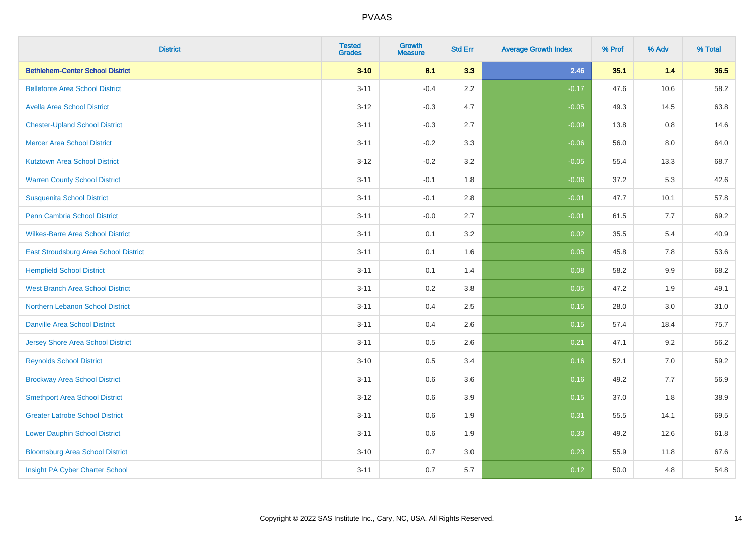| <b>District</b>                          | <b>Tested</b><br><b>Grades</b> | <b>Growth</b><br><b>Measure</b> | <b>Std Err</b> | <b>Average Growth Index</b> | % Prof | % Adv | % Total |
|------------------------------------------|--------------------------------|---------------------------------|----------------|-----------------------------|--------|-------|---------|
| <b>Bethlehem-Center School District</b>  | $3 - 10$                       | 8.1                             | 3.3            | 2.46                        | 35.1   | $1.4$ | 36.5    |
| <b>Bellefonte Area School District</b>   | $3 - 11$                       | $-0.4$                          | 2.2            | $-0.17$                     | 47.6   | 10.6  | 58.2    |
| <b>Avella Area School District</b>       | $3 - 12$                       | $-0.3$                          | 4.7            | $-0.05$                     | 49.3   | 14.5  | 63.8    |
| <b>Chester-Upland School District</b>    | $3 - 11$                       | $-0.3$                          | 2.7            | $-0.09$                     | 13.8   | 0.8   | 14.6    |
| <b>Mercer Area School District</b>       | $3 - 11$                       | $-0.2$                          | 3.3            | $-0.06$                     | 56.0   | 8.0   | 64.0    |
| <b>Kutztown Area School District</b>     | $3 - 12$                       | $-0.2$                          | 3.2            | $-0.05$                     | 55.4   | 13.3  | 68.7    |
| <b>Warren County School District</b>     | $3 - 11$                       | $-0.1$                          | 1.8            | $-0.06$                     | 37.2   | 5.3   | 42.6    |
| <b>Susquenita School District</b>        | $3 - 11$                       | $-0.1$                          | 2.8            | $-0.01$                     | 47.7   | 10.1  | 57.8    |
| Penn Cambria School District             | $3 - 11$                       | $-0.0$                          | 2.7            | $-0.01$                     | 61.5   | 7.7   | 69.2    |
| <b>Wilkes-Barre Area School District</b> | $3 - 11$                       | 0.1                             | 3.2            | 0.02                        | 35.5   | 5.4   | 40.9    |
| East Stroudsburg Area School District    | $3 - 11$                       | 0.1                             | 1.6            | 0.05                        | 45.8   | 7.8   | 53.6    |
| <b>Hempfield School District</b>         | $3 - 11$                       | 0.1                             | 1.4            | 0.08                        | 58.2   | 9.9   | 68.2    |
| <b>West Branch Area School District</b>  | $3 - 11$                       | 0.2                             | $3.8\,$        | 0.05                        | 47.2   | 1.9   | 49.1    |
| Northern Lebanon School District         | $3 - 11$                       | 0.4                             | 2.5            | 0.15                        | 28.0   | 3.0   | 31.0    |
| <b>Danville Area School District</b>     | $3 - 11$                       | 0.4                             | 2.6            | 0.15                        | 57.4   | 18.4  | 75.7    |
| <b>Jersey Shore Area School District</b> | $3 - 11$                       | $0.5\,$                         | 2.6            | 0.21                        | 47.1   | 9.2   | 56.2    |
| <b>Reynolds School District</b>          | $3 - 10$                       | 0.5                             | 3.4            | 0.16                        | 52.1   | 7.0   | 59.2    |
| <b>Brockway Area School District</b>     | $3 - 11$                       | 0.6                             | 3.6            | 0.16                        | 49.2   | 7.7   | 56.9    |
| <b>Smethport Area School District</b>    | $3 - 12$                       | 0.6                             | 3.9            | 0.15                        | 37.0   | 1.8   | 38.9    |
| <b>Greater Latrobe School District</b>   | $3 - 11$                       | 0.6                             | 1.9            | 0.31                        | 55.5   | 14.1  | 69.5    |
| <b>Lower Dauphin School District</b>     | $3 - 11$                       | 0.6                             | 1.9            | 0.33                        | 49.2   | 12.6  | 61.8    |
| <b>Bloomsburg Area School District</b>   | $3 - 10$                       | 0.7                             | 3.0            | 0.23                        | 55.9   | 11.8  | 67.6    |
| Insight PA Cyber Charter School          | $3 - 11$                       | 0.7                             | 5.7            | 0.12                        | 50.0   | 4.8   | 54.8    |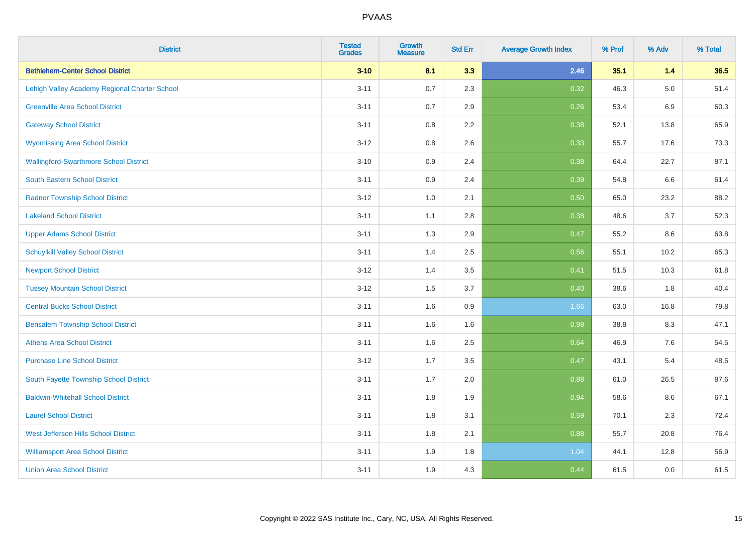| <b>District</b>                               | <b>Tested</b><br><b>Grades</b> | <b>Growth</b><br><b>Measure</b> | <b>Std Err</b> | <b>Average Growth Index</b> | % Prof | % Adv   | % Total |
|-----------------------------------------------|--------------------------------|---------------------------------|----------------|-----------------------------|--------|---------|---------|
| <b>Bethlehem-Center School District</b>       | $3 - 10$                       | 8.1                             | 3.3            | 2.46                        | 35.1   | 1.4     | 36.5    |
| Lehigh Valley Academy Regional Charter School | $3 - 11$                       | 0.7                             | 2.3            | 0.32                        | 46.3   | $5.0\,$ | 51.4    |
| <b>Greenville Area School District</b>        | $3 - 11$                       | 0.7                             | 2.9            | 0.26                        | 53.4   | 6.9     | 60.3    |
| <b>Gateway School District</b>                | $3 - 11$                       | $0.8\,$                         | 2.2            | 0.38                        | 52.1   | 13.8    | 65.9    |
| <b>Wyomissing Area School District</b>        | $3 - 12$                       | 0.8                             | 2.6            | 0.33                        | 55.7   | 17.6    | 73.3    |
| <b>Wallingford-Swarthmore School District</b> | $3 - 10$                       | 0.9                             | 2.4            | 0.38                        | 64.4   | 22.7    | 87.1    |
| South Eastern School District                 | $3 - 11$                       | 0.9                             | 2.4            | 0.39                        | 54.8   | 6.6     | 61.4    |
| <b>Radnor Township School District</b>        | $3 - 12$                       | 1.0                             | 2.1            | 0.50                        | 65.0   | 23.2    | 88.2    |
| <b>Lakeland School District</b>               | $3 - 11$                       | 1.1                             | 2.8            | 0.38                        | 48.6   | 3.7     | 52.3    |
| <b>Upper Adams School District</b>            | $3 - 11$                       | 1.3                             | 2.9            | 0.47                        | 55.2   | 8.6     | 63.8    |
| <b>Schuylkill Valley School District</b>      | $3 - 11$                       | 1.4                             | 2.5            | 0.56                        | 55.1   | 10.2    | 65.3    |
| <b>Newport School District</b>                | $3 - 12$                       | 1.4                             | 3.5            | 0.41                        | 51.5   | 10.3    | 61.8    |
| <b>Tussey Mountain School District</b>        | $3 - 12$                       | 1.5                             | 3.7            | 0.40                        | 38.6   | 1.8     | 40.4    |
| <b>Central Bucks School District</b>          | $3 - 11$                       | 1.6                             | $0.9\,$        | 1.66                        | 63.0   | 16.8    | 79.8    |
| <b>Bensalem Township School District</b>      | $3 - 11$                       | 1.6                             | 1.6            | 0.98                        | 38.8   | 8.3     | 47.1    |
| <b>Athens Area School District</b>            | $3 - 11$                       | 1.6                             | 2.5            | 0.64                        | 46.9   | 7.6     | 54.5    |
| <b>Purchase Line School District</b>          | $3 - 12$                       | 1.7                             | 3.5            | 0.47                        | 43.1   | 5.4     | 48.5    |
| South Fayette Township School District        | $3 - 11$                       | 1.7                             | 2.0            | 0.88                        | 61.0   | 26.5    | 87.6    |
| <b>Baldwin-Whitehall School District</b>      | $3 - 11$                       | 1.8                             | 1.9            | 0.94                        | 58.6   | 8.6     | 67.1    |
| <b>Laurel School District</b>                 | $3 - 11$                       | 1.8                             | 3.1            | 0.59                        | 70.1   | 2.3     | 72.4    |
| <b>West Jefferson Hills School District</b>   | $3 - 11$                       | 1.8                             | 2.1            | 0.88                        | 55.7   | 20.8    | 76.4    |
| <b>Williamsport Area School District</b>      | $3 - 11$                       | 1.9                             | 1.8            | 1.04                        | 44.1   | 12.8    | 56.9    |
| <b>Union Area School District</b>             | $3 - 11$                       | 1.9                             | 4.3            | 0.44                        | 61.5   | 0.0     | 61.5    |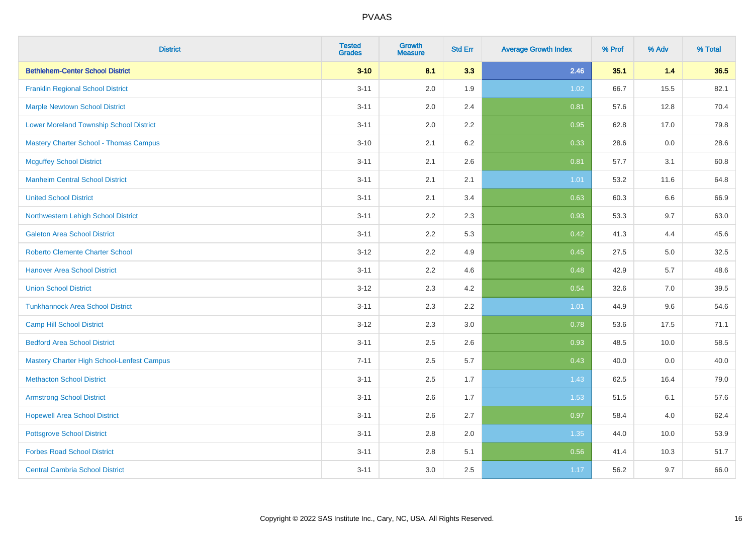| <b>District</b>                                | <b>Tested</b><br><b>Grades</b> | <b>Growth</b><br><b>Measure</b> | <b>Std Err</b> | <b>Average Growth Index</b> | % Prof | % Adv | % Total |
|------------------------------------------------|--------------------------------|---------------------------------|----------------|-----------------------------|--------|-------|---------|
| <b>Bethlehem-Center School District</b>        | $3 - 10$                       | 8.1                             | 3.3            | 2.46                        | 35.1   | 1.4   | 36.5    |
| <b>Franklin Regional School District</b>       | $3 - 11$                       | 2.0                             | 1.9            | 1.02                        | 66.7   | 15.5  | 82.1    |
| <b>Marple Newtown School District</b>          | $3 - 11$                       | 2.0                             | 2.4            | 0.81                        | 57.6   | 12.8  | 70.4    |
| <b>Lower Moreland Township School District</b> | $3 - 11$                       | 2.0                             | 2.2            | 0.95                        | 62.8   | 17.0  | 79.8    |
| <b>Mastery Charter School - Thomas Campus</b>  | $3 - 10$                       | 2.1                             | 6.2            | 0.33                        | 28.6   | 0.0   | 28.6    |
| <b>Mcguffey School District</b>                | $3 - 11$                       | 2.1                             | 2.6            | 0.81                        | 57.7   | 3.1   | 60.8    |
| <b>Manheim Central School District</b>         | $3 - 11$                       | 2.1                             | 2.1            | 1.01                        | 53.2   | 11.6  | 64.8    |
| <b>United School District</b>                  | $3 - 11$                       | 2.1                             | 3.4            | 0.63                        | 60.3   | 6.6   | 66.9    |
| Northwestern Lehigh School District            | $3 - 11$                       | 2.2                             | 2.3            | 0.93                        | 53.3   | 9.7   | 63.0    |
| <b>Galeton Area School District</b>            | $3 - 11$                       | 2.2                             | 5.3            | 0.42                        | 41.3   | 4.4   | 45.6    |
| <b>Roberto Clemente Charter School</b>         | $3 - 12$                       | 2.2                             | 4.9            | 0.45                        | 27.5   | 5.0   | 32.5    |
| <b>Hanover Area School District</b>            | $3 - 11$                       | 2.2                             | 4.6            | 0.48                        | 42.9   | 5.7   | 48.6    |
| <b>Union School District</b>                   | $3 - 12$                       | 2.3                             | 4.2            | 0.54                        | 32.6   | 7.0   | 39.5    |
| <b>Tunkhannock Area School District</b>        | $3 - 11$                       | 2.3                             | 2.2            | 1.01                        | 44.9   | 9.6   | 54.6    |
| <b>Camp Hill School District</b>               | $3 - 12$                       | 2.3                             | 3.0            | 0.78                        | 53.6   | 17.5  | 71.1    |
| <b>Bedford Area School District</b>            | $3 - 11$                       | 2.5                             | 2.6            | 0.93                        | 48.5   | 10.0  | 58.5    |
| Mastery Charter High School-Lenfest Campus     | $7 - 11$                       | 2.5                             | 5.7            | 0.43                        | 40.0   | 0.0   | 40.0    |
| <b>Methacton School District</b>               | $3 - 11$                       | 2.5                             | 1.7            | 1.43                        | 62.5   | 16.4  | 79.0    |
| <b>Armstrong School District</b>               | $3 - 11$                       | 2.6                             | 1.7            | 1.53                        | 51.5   | 6.1   | 57.6    |
| <b>Hopewell Area School District</b>           | $3 - 11$                       | 2.6                             | 2.7            | 0.97                        | 58.4   | 4.0   | 62.4    |
| <b>Pottsgrove School District</b>              | $3 - 11$                       | 2.8                             | 2.0            | 1.35                        | 44.0   | 10.0  | 53.9    |
| <b>Forbes Road School District</b>             | $3 - 11$                       | 2.8                             | 5.1            | 0.56                        | 41.4   | 10.3  | 51.7    |
| <b>Central Cambria School District</b>         | $3 - 11$                       | 3.0                             | 2.5            | 1.17                        | 56.2   | 9.7   | 66.0    |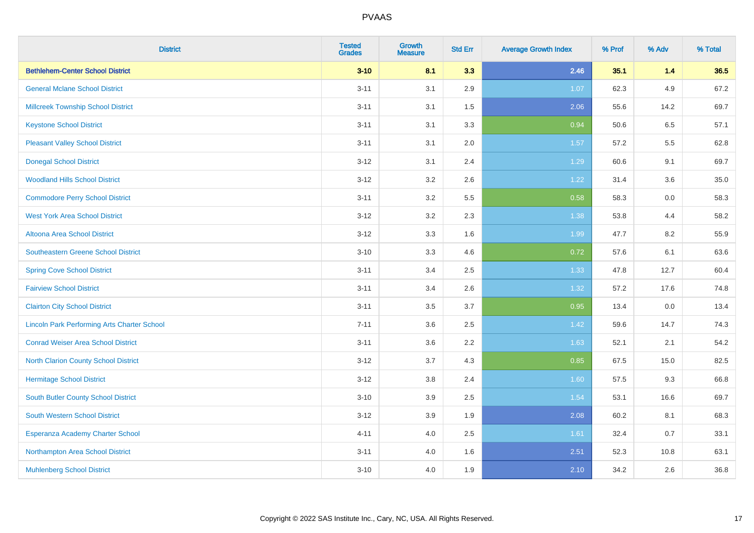| <b>District</b>                                    | <b>Tested</b><br><b>Grades</b> | <b>Growth</b><br><b>Measure</b> | <b>Std Err</b> | <b>Average Growth Index</b> | % Prof | % Adv | % Total |
|----------------------------------------------------|--------------------------------|---------------------------------|----------------|-----------------------------|--------|-------|---------|
| <b>Bethlehem-Center School District</b>            | $3 - 10$                       | 8.1                             | 3.3            | 2.46                        | 35.1   | 1.4   | 36.5    |
| <b>General Mclane School District</b>              | $3 - 11$                       | 3.1                             | 2.9            | 1.07                        | 62.3   | 4.9   | 67.2    |
| <b>Millcreek Township School District</b>          | $3 - 11$                       | 3.1                             | 1.5            | 2.06                        | 55.6   | 14.2  | 69.7    |
| <b>Keystone School District</b>                    | $3 - 11$                       | 3.1                             | 3.3            | 0.94                        | 50.6   | 6.5   | 57.1    |
| <b>Pleasant Valley School District</b>             | $3 - 11$                       | 3.1                             | 2.0            | 1.57                        | 57.2   | 5.5   | 62.8    |
| <b>Donegal School District</b>                     | $3 - 12$                       | 3.1                             | 2.4            | 1.29                        | 60.6   | 9.1   | 69.7    |
| <b>Woodland Hills School District</b>              | $3 - 12$                       | 3.2                             | 2.6            | 1.22                        | 31.4   | 3.6   | 35.0    |
| <b>Commodore Perry School District</b>             | $3 - 11$                       | 3.2                             | 5.5            | 0.58                        | 58.3   | 0.0   | 58.3    |
| <b>West York Area School District</b>              | $3 - 12$                       | 3.2                             | 2.3            | 1.38                        | 53.8   | 4.4   | 58.2    |
| <b>Altoona Area School District</b>                | $3-12$                         | 3.3                             | 1.6            | 1.99                        | 47.7   | 8.2   | 55.9    |
| Southeastern Greene School District                | $3 - 10$                       | 3.3                             | 4.6            | 0.72                        | 57.6   | 6.1   | 63.6    |
| <b>Spring Cove School District</b>                 | $3 - 11$                       | 3.4                             | 2.5            | 1.33                        | 47.8   | 12.7  | 60.4    |
| <b>Fairview School District</b>                    | $3 - 11$                       | 3.4                             | 2.6            | 1.32                        | 57.2   | 17.6  | 74.8    |
| <b>Clairton City School District</b>               | $3 - 11$                       | $3.5\,$                         | 3.7            | 0.95                        | 13.4   | 0.0   | 13.4    |
| <b>Lincoln Park Performing Arts Charter School</b> | $7 - 11$                       | 3.6                             | 2.5            | 1.42                        | 59.6   | 14.7  | 74.3    |
| <b>Conrad Weiser Area School District</b>          | $3 - 11$                       | 3.6                             | 2.2            | 1.63                        | 52.1   | 2.1   | 54.2    |
| <b>North Clarion County School District</b>        | $3 - 12$                       | 3.7                             | 4.3            | 0.85                        | 67.5   | 15.0  | 82.5    |
| <b>Hermitage School District</b>                   | $3 - 12$                       | 3.8                             | 2.4            | 1.60                        | 57.5   | 9.3   | 66.8    |
| <b>South Butler County School District</b>         | $3 - 10$                       | 3.9                             | 2.5            | 1.54                        | 53.1   | 16.6  | 69.7    |
| <b>South Western School District</b>               | $3 - 12$                       | 3.9                             | 1.9            | 2.08                        | 60.2   | 8.1   | 68.3    |
| Esperanza Academy Charter School                   | $4 - 11$                       | 4.0                             | 2.5            | 1.61                        | 32.4   | 0.7   | 33.1    |
| Northampton Area School District                   | $3 - 11$                       | 4.0                             | 1.6            | 2.51                        | 52.3   | 10.8  | 63.1    |
| <b>Muhlenberg School District</b>                  | $3 - 10$                       | 4.0                             | 1.9            | 2.10                        | 34.2   | 2.6   | 36.8    |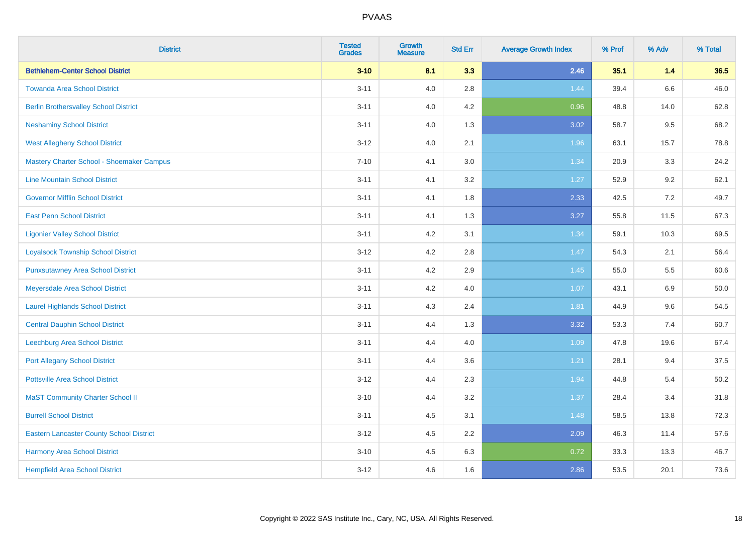| <b>District</b>                                 | <b>Tested</b><br><b>Grades</b> | <b>Growth</b><br><b>Measure</b> | <b>Std Err</b> | <b>Average Growth Index</b> | % Prof | % Adv | % Total |
|-------------------------------------------------|--------------------------------|---------------------------------|----------------|-----------------------------|--------|-------|---------|
| <b>Bethlehem-Center School District</b>         | $3 - 10$                       | 8.1                             | 3.3            | 2.46                        | 35.1   | 1.4   | 36.5    |
| <b>Towanda Area School District</b>             | $3 - 11$                       | 4.0                             | 2.8            | 1.44                        | 39.4   | 6.6   | 46.0    |
| <b>Berlin Brothersvalley School District</b>    | $3 - 11$                       | 4.0                             | 4.2            | 0.96                        | 48.8   | 14.0  | 62.8    |
| <b>Neshaminy School District</b>                | $3 - 11$                       | 4.0                             | 1.3            | 3.02                        | 58.7   | 9.5   | 68.2    |
| <b>West Allegheny School District</b>           | $3 - 12$                       | 4.0                             | 2.1            | 1.96                        | 63.1   | 15.7  | 78.8    |
| Mastery Charter School - Shoemaker Campus       | $7 - 10$                       | 4.1                             | 3.0            | 1.34                        | 20.9   | 3.3   | 24.2    |
| <b>Line Mountain School District</b>            | $3 - 11$                       | 4.1                             | 3.2            | 1.27                        | 52.9   | 9.2   | 62.1    |
| <b>Governor Mifflin School District</b>         | $3 - 11$                       | 4.1                             | 1.8            | 2.33                        | 42.5   | 7.2   | 49.7    |
| <b>East Penn School District</b>                | $3 - 11$                       | 4.1                             | 1.3            | 3.27                        | 55.8   | 11.5  | 67.3    |
| <b>Ligonier Valley School District</b>          | $3 - 11$                       | 4.2                             | 3.1            | 1.34                        | 59.1   | 10.3  | 69.5    |
| <b>Loyalsock Township School District</b>       | $3 - 12$                       | 4.2                             | 2.8            | 1.47                        | 54.3   | 2.1   | 56.4    |
| <b>Punxsutawney Area School District</b>        | $3 - 11$                       | 4.2                             | 2.9            | 1.45                        | 55.0   | 5.5   | 60.6    |
| Meyersdale Area School District                 | $3 - 11$                       | 4.2                             | 4.0            | 1.07                        | 43.1   | 6.9   | 50.0    |
| <b>Laurel Highlands School District</b>         | $3 - 11$                       | 4.3                             | 2.4            | 1.81                        | 44.9   | 9.6   | 54.5    |
| <b>Central Dauphin School District</b>          | $3 - 11$                       | 4.4                             | 1.3            | 3.32                        | 53.3   | 7.4   | 60.7    |
| <b>Leechburg Area School District</b>           | $3 - 11$                       | 4.4                             | 4.0            | 1.09                        | 47.8   | 19.6  | 67.4    |
| <b>Port Allegany School District</b>            | $3 - 11$                       | 4.4                             | 3.6            | 1.21                        | 28.1   | 9.4   | 37.5    |
| <b>Pottsville Area School District</b>          | $3 - 12$                       | 4.4                             | 2.3            | 1.94                        | 44.8   | 5.4   | 50.2    |
| <b>MaST Community Charter School II</b>         | $3 - 10$                       | 4.4                             | 3.2            | 1.37                        | 28.4   | 3.4   | 31.8    |
| <b>Burrell School District</b>                  | $3 - 11$                       | 4.5                             | 3.1            | 1.48                        | 58.5   | 13.8  | 72.3    |
| <b>Eastern Lancaster County School District</b> | $3 - 12$                       | 4.5                             | 2.2            | 2.09                        | 46.3   | 11.4  | 57.6    |
| Harmony Area School District                    | $3 - 10$                       | 4.5                             | 6.3            | 0.72                        | 33.3   | 13.3  | 46.7    |
| <b>Hempfield Area School District</b>           | $3 - 12$                       | 4.6                             | 1.6            | 2.86                        | 53.5   | 20.1  | 73.6    |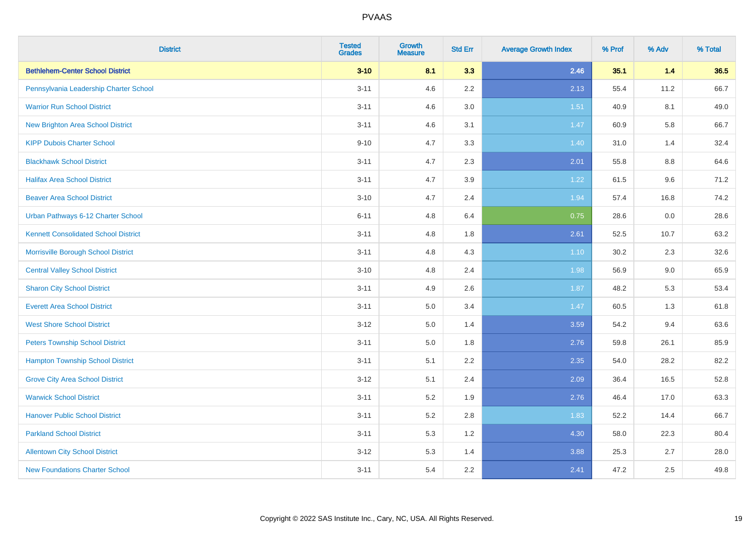| <b>District</b>                             | <b>Tested</b><br><b>Grades</b> | Growth<br><b>Measure</b> | <b>Std Err</b> | <b>Average Growth Index</b> | % Prof | % Adv   | % Total |
|---------------------------------------------|--------------------------------|--------------------------|----------------|-----------------------------|--------|---------|---------|
| <b>Bethlehem-Center School District</b>     | $3 - 10$                       | 8.1                      | 3.3            | 2.46                        | 35.1   | 1.4     | 36.5    |
| Pennsylvania Leadership Charter School      | $3 - 11$                       | 4.6                      | 2.2            | 2.13                        | 55.4   | 11.2    | 66.7    |
| <b>Warrior Run School District</b>          | $3 - 11$                       | 4.6                      | 3.0            | 1.51                        | 40.9   | 8.1     | 49.0    |
| <b>New Brighton Area School District</b>    | $3 - 11$                       | 4.6                      | 3.1            | 1.47                        | 60.9   | 5.8     | 66.7    |
| <b>KIPP Dubois Charter School</b>           | $9 - 10$                       | 4.7                      | 3.3            | 1.40                        | 31.0   | 1.4     | 32.4    |
| <b>Blackhawk School District</b>            | $3 - 11$                       | 4.7                      | 2.3            | 2.01                        | 55.8   | $8.8\,$ | 64.6    |
| <b>Halifax Area School District</b>         | $3 - 11$                       | 4.7                      | 3.9            | 1.22                        | 61.5   | 9.6     | 71.2    |
| <b>Beaver Area School District</b>          | $3 - 10$                       | 4.7                      | 2.4            | 1.94                        | 57.4   | 16.8    | 74.2    |
| Urban Pathways 6-12 Charter School          | $6 - 11$                       | 4.8                      | 6.4            | 0.75                        | 28.6   | 0.0     | 28.6    |
| <b>Kennett Consolidated School District</b> | $3 - 11$                       | 4.8                      | 1.8            | 2.61                        | 52.5   | 10.7    | 63.2    |
| Morrisville Borough School District         | $3 - 11$                       | 4.8                      | 4.3            | 1.10                        | 30.2   | 2.3     | 32.6    |
| <b>Central Valley School District</b>       | $3 - 10$                       | 4.8                      | 2.4            | 1.98                        | 56.9   | 9.0     | 65.9    |
| <b>Sharon City School District</b>          | $3 - 11$                       | 4.9                      | 2.6            | 1.87                        | 48.2   | 5.3     | 53.4    |
| <b>Everett Area School District</b>         | $3 - 11$                       | 5.0                      | 3.4            | 1.47                        | 60.5   | 1.3     | 61.8    |
| <b>West Shore School District</b>           | $3 - 12$                       | $5.0\,$                  | 1.4            | 3.59                        | 54.2   | 9.4     | 63.6    |
| <b>Peters Township School District</b>      | $3 - 11$                       | 5.0                      | 1.8            | 2.76                        | 59.8   | 26.1    | 85.9    |
| <b>Hampton Township School District</b>     | $3 - 11$                       | 5.1                      | 2.2            | 2.35                        | 54.0   | 28.2    | 82.2    |
| <b>Grove City Area School District</b>      | $3 - 12$                       | 5.1                      | 2.4            | 2.09                        | 36.4   | 16.5    | 52.8    |
| <b>Warwick School District</b>              | $3 - 11$                       | 5.2                      | 1.9            | 2.76                        | 46.4   | 17.0    | 63.3    |
| <b>Hanover Public School District</b>       | $3 - 11$                       | 5.2                      | 2.8            | 1.83                        | 52.2   | 14.4    | 66.7    |
| <b>Parkland School District</b>             | $3 - 11$                       | 5.3                      | 1.2            | 4.30                        | 58.0   | 22.3    | 80.4    |
| <b>Allentown City School District</b>       | $3 - 12$                       | 5.3                      | 1.4            | 3.88                        | 25.3   | 2.7     | 28.0    |
| <b>New Foundations Charter School</b>       | $3 - 11$                       | 5.4                      | 2.2            | 2.41                        | 47.2   | 2.5     | 49.8    |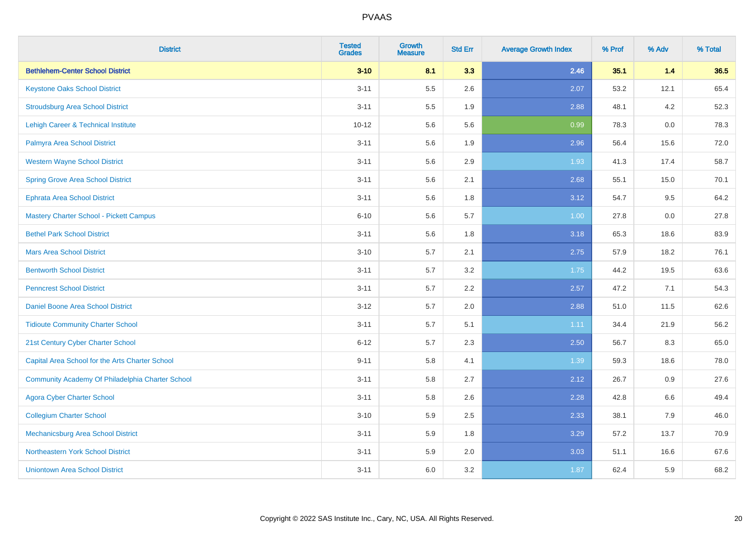| <b>District</b>                                  | <b>Tested</b><br><b>Grades</b> | <b>Growth</b><br><b>Measure</b> | <b>Std Err</b> | <b>Average Growth Index</b> | % Prof | % Adv | % Total |
|--------------------------------------------------|--------------------------------|---------------------------------|----------------|-----------------------------|--------|-------|---------|
| <b>Bethlehem-Center School District</b>          | $3 - 10$                       | 8.1                             | 3.3            | 2.46                        | 35.1   | $1.4$ | 36.5    |
| <b>Keystone Oaks School District</b>             | $3 - 11$                       | 5.5                             | 2.6            | 2.07                        | 53.2   | 12.1  | 65.4    |
| <b>Stroudsburg Area School District</b>          | $3 - 11$                       | 5.5                             | 1.9            | 2.88                        | 48.1   | 4.2   | 52.3    |
| Lehigh Career & Technical Institute              | $10 - 12$                      | 5.6                             | 5.6            | 0.99                        | 78.3   | 0.0   | 78.3    |
| Palmyra Area School District                     | $3 - 11$                       | 5.6                             | 1.9            | 2.96                        | 56.4   | 15.6  | 72.0    |
| <b>Western Wayne School District</b>             | $3 - 11$                       | 5.6                             | 2.9            | 1.93                        | 41.3   | 17.4  | 58.7    |
| <b>Spring Grove Area School District</b>         | $3 - 11$                       | 5.6                             | 2.1            | 2.68                        | 55.1   | 15.0  | 70.1    |
| <b>Ephrata Area School District</b>              | $3 - 11$                       | 5.6                             | 1.8            | 3.12                        | 54.7   | 9.5   | 64.2    |
| <b>Mastery Charter School - Pickett Campus</b>   | $6 - 10$                       | 5.6                             | 5.7            | 1.00                        | 27.8   | 0.0   | 27.8    |
| <b>Bethel Park School District</b>               | $3 - 11$                       | 5.6                             | 1.8            | 3.18                        | 65.3   | 18.6  | 83.9    |
| <b>Mars Area School District</b>                 | $3 - 10$                       | 5.7                             | 2.1            | 2.75                        | 57.9   | 18.2  | 76.1    |
| <b>Bentworth School District</b>                 | $3 - 11$                       | 5.7                             | 3.2            | 1.75                        | 44.2   | 19.5  | 63.6    |
| <b>Penncrest School District</b>                 | $3 - 11$                       | 5.7                             | 2.2            | 2.57                        | 47.2   | 7.1   | 54.3    |
| Daniel Boone Area School District                | $3 - 12$                       | 5.7                             | 2.0            | 2.88                        | 51.0   | 11.5  | 62.6    |
| <b>Tidioute Community Charter School</b>         | $3 - 11$                       | 5.7                             | 5.1            | 1.11                        | 34.4   | 21.9  | 56.2    |
| 21st Century Cyber Charter School                | $6 - 12$                       | 5.7                             | 2.3            | 2.50                        | 56.7   | 8.3   | 65.0    |
| Capital Area School for the Arts Charter School  | $9 - 11$                       | 5.8                             | 4.1            | 1.39                        | 59.3   | 18.6  | 78.0    |
| Community Academy Of Philadelphia Charter School | $3 - 11$                       | 5.8                             | 2.7            | 2.12                        | 26.7   | 0.9   | 27.6    |
| <b>Agora Cyber Charter School</b>                | $3 - 11$                       | 5.8                             | 2.6            | 2.28                        | 42.8   | 6.6   | 49.4    |
| <b>Collegium Charter School</b>                  | $3 - 10$                       | 5.9                             | 2.5            | 2.33                        | 38.1   | 7.9   | 46.0    |
| <b>Mechanicsburg Area School District</b>        | $3 - 11$                       | 5.9                             | 1.8            | 3.29                        | 57.2   | 13.7  | 70.9    |
| Northeastern York School District                | $3 - 11$                       | 5.9                             | 2.0            | 3.03                        | 51.1   | 16.6  | 67.6    |
| <b>Uniontown Area School District</b>            | $3 - 11$                       | 6.0                             | 3.2            | 1.87                        | 62.4   | 5.9   | 68.2    |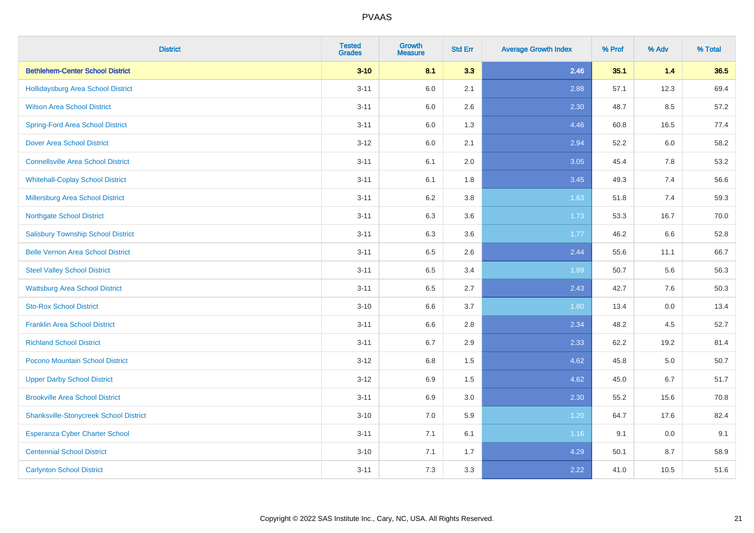| <b>District</b>                               | <b>Tested</b><br><b>Grades</b> | <b>Growth</b><br><b>Measure</b> | <b>Std Err</b> | <b>Average Growth Index</b> | % Prof | % Adv | % Total |
|-----------------------------------------------|--------------------------------|---------------------------------|----------------|-----------------------------|--------|-------|---------|
| <b>Bethlehem-Center School District</b>       | $3 - 10$                       | 8.1                             | 3.3            | 2.46                        | 35.1   | $1.4$ | 36.5    |
| Hollidaysburg Area School District            | $3 - 11$                       | 6.0                             | 2.1            | 2.88                        | 57.1   | 12.3  | 69.4    |
| <b>Wilson Area School District</b>            | $3 - 11$                       | 6.0                             | 2.6            | 2.30                        | 48.7   | 8.5   | 57.2    |
| <b>Spring-Ford Area School District</b>       | $3 - 11$                       | 6.0                             | 1.3            | 4.46                        | 60.8   | 16.5  | 77.4    |
| <b>Dover Area School District</b>             | $3-12$                         | 6.0                             | 2.1            | 2.94                        | 52.2   | 6.0   | 58.2    |
| <b>Connellsville Area School District</b>     | $3 - 11$                       | 6.1                             | 2.0            | 3.05                        | 45.4   | 7.8   | 53.2    |
| <b>Whitehall-Coplay School District</b>       | $3 - 11$                       | 6.1                             | 1.8            | 3.45                        | 49.3   | 7.4   | 56.6    |
| <b>Millersburg Area School District</b>       | $3 - 11$                       | 6.2                             | $3.8\,$        | 1.63                        | 51.8   | 7.4   | 59.3    |
| <b>Northgate School District</b>              | $3 - 11$                       | 6.3                             | 3.6            | 1.73                        | 53.3   | 16.7  | 70.0    |
| <b>Salisbury Township School District</b>     | $3 - 11$                       | 6.3                             | 3.6            | 1.77                        | 46.2   | 6.6   | 52.8    |
| <b>Belle Vernon Area School District</b>      | $3 - 11$                       | 6.5                             | 2.6            | 2.44                        | 55.6   | 11.1  | 66.7    |
| <b>Steel Valley School District</b>           | $3 - 11$                       | 6.5                             | 3.4            | 1.89                        | 50.7   | 5.6   | 56.3    |
| <b>Wattsburg Area School District</b>         | $3 - 11$                       | 6.5                             | 2.7            | 2.43                        | 42.7   | 7.6   | 50.3    |
| <b>Sto-Rox School District</b>                | $3 - 10$                       | 6.6                             | 3.7            | 1.80                        | 13.4   | 0.0   | 13.4    |
| <b>Franklin Area School District</b>          | $3 - 11$                       | 6.6                             | 2.8            | 2.34                        | 48.2   | 4.5   | 52.7    |
| <b>Richland School District</b>               | $3 - 11$                       | 6.7                             | 2.9            | 2.33                        | 62.2   | 19.2  | 81.4    |
| Pocono Mountain School District               | $3 - 12$                       | 6.8                             | 1.5            | 4.62                        | 45.8   | 5.0   | 50.7    |
| <b>Upper Darby School District</b>            | $3 - 12$                       | 6.9                             | 1.5            | 4.62                        | 45.0   | 6.7   | 51.7    |
| <b>Brookville Area School District</b>        | $3 - 11$                       | 6.9                             | 3.0            | 2.30                        | 55.2   | 15.6  | 70.8    |
| <b>Shanksville-Stonycreek School District</b> | $3 - 10$                       | 7.0                             | 5.9            | 1.20                        | 64.7   | 17.6  | 82.4    |
| <b>Esperanza Cyber Charter School</b>         | $3 - 11$                       | 7.1                             | 6.1            | 1.16                        | 9.1    | 0.0   | 9.1     |
| <b>Centennial School District</b>             | $3 - 10$                       | 7.1                             | 1.7            | 4.29                        | 50.1   | 8.7   | 58.9    |
| <b>Carlynton School District</b>              | $3 - 11$                       | 7.3                             | 3.3            | 2.22                        | 41.0   | 10.5  | 51.6    |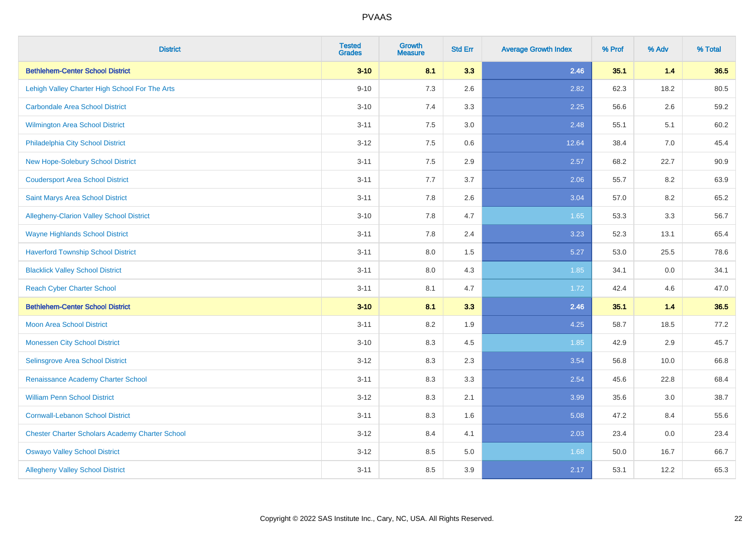| <b>District</b>                                        | <b>Tested</b><br><b>Grades</b> | <b>Growth</b><br><b>Measure</b> | <b>Std Err</b> | <b>Average Growth Index</b> | % Prof | % Adv | % Total |
|--------------------------------------------------------|--------------------------------|---------------------------------|----------------|-----------------------------|--------|-------|---------|
| <b>Bethlehem-Center School District</b>                | $3 - 10$                       | 8.1                             | 3.3            | 2.46                        | 35.1   | $1.4$ | 36.5    |
| Lehigh Valley Charter High School For The Arts         | $9 - 10$                       | 7.3                             | 2.6            | 2.82                        | 62.3   | 18.2  | 80.5    |
| <b>Carbondale Area School District</b>                 | $3 - 10$                       | 7.4                             | 3.3            | 2.25                        | 56.6   | 2.6   | 59.2    |
| Wilmington Area School District                        | $3 - 11$                       | $7.5\,$                         | 3.0            | 2.48                        | 55.1   | 5.1   | 60.2    |
| Philadelphia City School District                      | $3 - 12$                       | 7.5                             | 0.6            | 12.64                       | 38.4   | 7.0   | 45.4    |
| <b>New Hope-Solebury School District</b>               | $3 - 11$                       | 7.5                             | 2.9            | 2.57                        | 68.2   | 22.7  | 90.9    |
| <b>Coudersport Area School District</b>                | $3 - 11$                       | 7.7                             | 3.7            | 2.06                        | 55.7   | 8.2   | 63.9    |
| Saint Marys Area School District                       | $3 - 11$                       | 7.8                             | 2.6            | 3.04                        | 57.0   | 8.2   | 65.2    |
| Allegheny-Clarion Valley School District               | $3 - 10$                       | 7.8                             | 4.7            | 1.65                        | 53.3   | 3.3   | 56.7    |
| <b>Wayne Highlands School District</b>                 | $3 - 11$                       | 7.8                             | 2.4            | 3.23                        | 52.3   | 13.1  | 65.4    |
| <b>Haverford Township School District</b>              | $3 - 11$                       | 8.0                             | 1.5            | 5.27                        | 53.0   | 25.5  | 78.6    |
| <b>Blacklick Valley School District</b>                | $3 - 11$                       | 8.0                             | 4.3            | 1.85                        | 34.1   | 0.0   | 34.1    |
| <b>Reach Cyber Charter School</b>                      | $3 - 11$                       | 8.1                             | 4.7            | 1.72                        | 42.4   | 4.6   | 47.0    |
| <b>Bethlehem-Center School District</b>                | $3 - 10$                       | 8.1                             | 3.3            | 2.46                        | 35.1   | $1.4$ | 36.5    |
| <b>Moon Area School District</b>                       | $3 - 11$                       | 8.2                             | 1.9            | 4.25                        | 58.7   | 18.5  | 77.2    |
| <b>Monessen City School District</b>                   | $3 - 10$                       | 8.3                             | 4.5            | 1.85                        | 42.9   | 2.9   | 45.7    |
| Selinsgrove Area School District                       | $3 - 12$                       | 8.3                             | 2.3            | 3.54                        | 56.8   | 10.0  | 66.8    |
| Renaissance Academy Charter School                     | $3 - 11$                       | 8.3                             | 3.3            | 2.54                        | 45.6   | 22.8  | 68.4    |
| <b>William Penn School District</b>                    | $3 - 12$                       | 8.3                             | 2.1            | 3.99                        | 35.6   | 3.0   | 38.7    |
| <b>Cornwall-Lebanon School District</b>                | $3 - 11$                       | 8.3                             | 1.6            | 5.08                        | 47.2   | 8.4   | 55.6    |
| <b>Chester Charter Scholars Academy Charter School</b> | $3 - 12$                       | 8.4                             | 4.1            | 2.03                        | 23.4   | 0.0   | 23.4    |
| <b>Oswayo Valley School District</b>                   | $3 - 12$                       | 8.5                             | 5.0            | 1.68                        | 50.0   | 16.7  | 66.7    |
| <b>Allegheny Valley School District</b>                | $3 - 11$                       | 8.5                             | 3.9            | 2.17                        | 53.1   | 12.2  | 65.3    |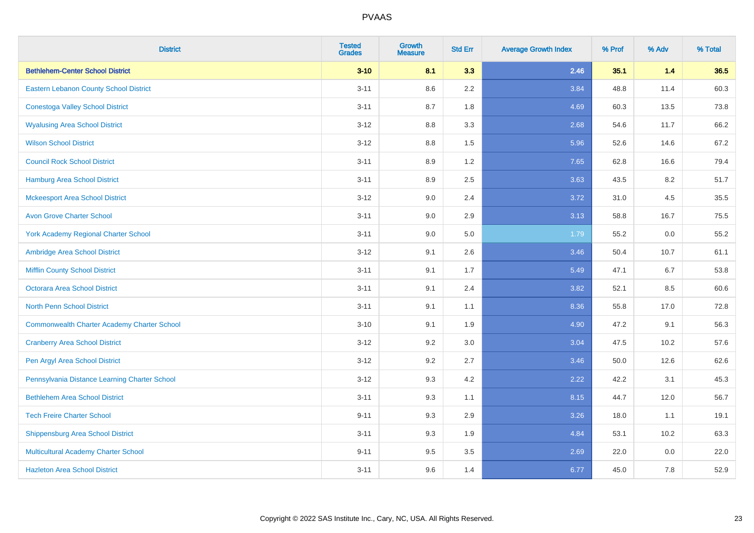| <b>District</b>                                    | <b>Tested</b><br><b>Grades</b> | <b>Growth</b><br><b>Measure</b> | <b>Std Err</b> | <b>Average Growth Index</b> | % Prof | % Adv | % Total |
|----------------------------------------------------|--------------------------------|---------------------------------|----------------|-----------------------------|--------|-------|---------|
| <b>Bethlehem-Center School District</b>            | $3 - 10$                       | 8.1                             | 3.3            | 2.46                        | 35.1   | $1.4$ | 36.5    |
| Eastern Lebanon County School District             | $3 - 11$                       | 8.6                             | 2.2            | 3.84                        | 48.8   | 11.4  | 60.3    |
| <b>Conestoga Valley School District</b>            | $3 - 11$                       | 8.7                             | 1.8            | 4.69                        | 60.3   | 13.5  | 73.8    |
| <b>Wyalusing Area School District</b>              | $3-12$                         | 8.8                             | 3.3            | 2.68                        | 54.6   | 11.7  | 66.2    |
| <b>Wilson School District</b>                      | $3 - 12$                       | 8.8                             | 1.5            | 5.96                        | 52.6   | 14.6  | 67.2    |
| <b>Council Rock School District</b>                | $3 - 11$                       | 8.9                             | 1.2            | 7.65                        | 62.8   | 16.6  | 79.4    |
| <b>Hamburg Area School District</b>                | $3 - 11$                       | 8.9                             | 2.5            | 3.63                        | 43.5   | 8.2   | 51.7    |
| <b>Mckeesport Area School District</b>             | $3 - 12$                       | 9.0                             | 2.4            | 3.72                        | 31.0   | 4.5   | 35.5    |
| <b>Avon Grove Charter School</b>                   | $3 - 11$                       | 9.0                             | 2.9            | 3.13                        | 58.8   | 16.7  | 75.5    |
| <b>York Academy Regional Charter School</b>        | $3 - 11$                       | 9.0                             | 5.0            | 1.79                        | 55.2   | 0.0   | 55.2    |
| Ambridge Area School District                      | $3 - 12$                       | 9.1                             | 2.6            | 3.46                        | 50.4   | 10.7  | 61.1    |
| <b>Mifflin County School District</b>              | $3 - 11$                       | 9.1                             | 1.7            | 5.49                        | 47.1   | 6.7   | 53.8    |
| <b>Octorara Area School District</b>               | $3 - 11$                       | 9.1                             | 2.4            | 3.82                        | 52.1   | 8.5   | 60.6    |
| <b>North Penn School District</b>                  | $3 - 11$                       | 9.1                             | 1.1            | 8.36                        | 55.8   | 17.0  | 72.8    |
| <b>Commonwealth Charter Academy Charter School</b> | $3 - 10$                       | 9.1                             | 1.9            | 4.90                        | 47.2   | 9.1   | 56.3    |
| <b>Cranberry Area School District</b>              | $3-12$                         | 9.2                             | 3.0            | 3.04                        | 47.5   | 10.2  | 57.6    |
| Pen Argyl Area School District                     | $3-12$                         | 9.2                             | 2.7            | 3.46                        | 50.0   | 12.6  | 62.6    |
| Pennsylvania Distance Learning Charter School      | $3 - 12$                       | 9.3                             | 4.2            | 2.22                        | 42.2   | 3.1   | 45.3    |
| <b>Bethlehem Area School District</b>              | $3 - 11$                       | 9.3                             | 1.1            | 8.15                        | 44.7   | 12.0  | 56.7    |
| <b>Tech Freire Charter School</b>                  | $9 - 11$                       | 9.3                             | 2.9            | 3.26                        | 18.0   | 1.1   | 19.1    |
| <b>Shippensburg Area School District</b>           | $3 - 11$                       | 9.3                             | 1.9            | 4.84                        | 53.1   | 10.2  | 63.3    |
| Multicultural Academy Charter School               | $9 - 11$                       | 9.5                             | 3.5            | 2.69                        | 22.0   | 0.0   | 22.0    |
| <b>Hazleton Area School District</b>               | $3 - 11$                       | 9.6                             | 1.4            | 6.77                        | 45.0   | 7.8   | 52.9    |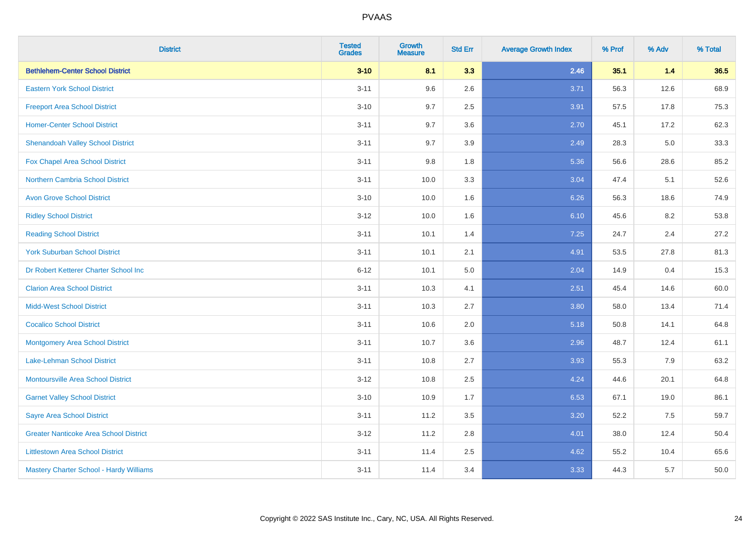| <b>District</b>                                | <b>Tested</b><br><b>Grades</b> | <b>Growth</b><br><b>Measure</b> | <b>Std Err</b> | <b>Average Growth Index</b> | % Prof | % Adv | % Total |
|------------------------------------------------|--------------------------------|---------------------------------|----------------|-----------------------------|--------|-------|---------|
| <b>Bethlehem-Center School District</b>        | $3 - 10$                       | 8.1                             | 3.3            | 2.46                        | 35.1   | $1.4$ | 36.5    |
| <b>Eastern York School District</b>            | $3 - 11$                       | 9.6                             | 2.6            | 3.71                        | 56.3   | 12.6  | 68.9    |
| <b>Freeport Area School District</b>           | $3 - 10$                       | 9.7                             | 2.5            | 3.91                        | 57.5   | 17.8  | 75.3    |
| <b>Homer-Center School District</b>            | $3 - 11$                       | 9.7                             | 3.6            | 2.70                        | 45.1   | 17.2  | 62.3    |
| <b>Shenandoah Valley School District</b>       | $3 - 11$                       | 9.7                             | 3.9            | 2.49                        | 28.3   | 5.0   | 33.3    |
| Fox Chapel Area School District                | $3 - 11$                       | 9.8                             | 1.8            | 5.36                        | 56.6   | 28.6  | 85.2    |
| <b>Northern Cambria School District</b>        | $3 - 11$                       | 10.0                            | 3.3            | 3.04                        | 47.4   | 5.1   | 52.6    |
| <b>Avon Grove School District</b>              | $3 - 10$                       | 10.0                            | 1.6            | 6.26                        | 56.3   | 18.6  | 74.9    |
| <b>Ridley School District</b>                  | $3 - 12$                       | 10.0                            | 1.6            | 6.10                        | 45.6   | 8.2   | 53.8    |
| <b>Reading School District</b>                 | $3 - 11$                       | 10.1                            | 1.4            | 7.25                        | 24.7   | 2.4   | 27.2    |
| <b>York Suburban School District</b>           | $3 - 11$                       | 10.1                            | 2.1            | 4.91                        | 53.5   | 27.8  | 81.3    |
| Dr Robert Ketterer Charter School Inc          | $6 - 12$                       | 10.1                            | 5.0            | 2.04                        | 14.9   | 0.4   | 15.3    |
| <b>Clarion Area School District</b>            | $3 - 11$                       | 10.3                            | 4.1            | 2.51                        | 45.4   | 14.6  | 60.0    |
| <b>Midd-West School District</b>               | $3 - 11$                       | 10.3                            | 2.7            | 3.80                        | 58.0   | 13.4  | 71.4    |
| <b>Cocalico School District</b>                | $3 - 11$                       | 10.6                            | 2.0            | 5.18                        | 50.8   | 14.1  | 64.8    |
| <b>Montgomery Area School District</b>         | $3 - 11$                       | 10.7                            | 3.6            | 2.96                        | 48.7   | 12.4  | 61.1    |
| Lake-Lehman School District                    | $3 - 11$                       | 10.8                            | 2.7            | 3.93                        | 55.3   | 7.9   | 63.2    |
| <b>Montoursville Area School District</b>      | $3 - 12$                       | 10.8                            | 2.5            | 4.24                        | 44.6   | 20.1  | 64.8    |
| <b>Garnet Valley School District</b>           | $3 - 10$                       | 10.9                            | 1.7            | 6.53                        | 67.1   | 19.0  | 86.1    |
| <b>Sayre Area School District</b>              | $3 - 11$                       | 11.2                            | 3.5            | 3.20                        | 52.2   | 7.5   | 59.7    |
| <b>Greater Nanticoke Area School District</b>  | $3-12$                         | 11.2                            | 2.8            | 4.01                        | 38.0   | 12.4  | 50.4    |
| <b>Littlestown Area School District</b>        | $3 - 11$                       | 11.4                            | 2.5            | 4.62                        | 55.2   | 10.4  | 65.6    |
| <b>Mastery Charter School - Hardy Williams</b> | $3 - 11$                       | 11.4                            | 3.4            | 3.33                        | 44.3   | 5.7   | 50.0    |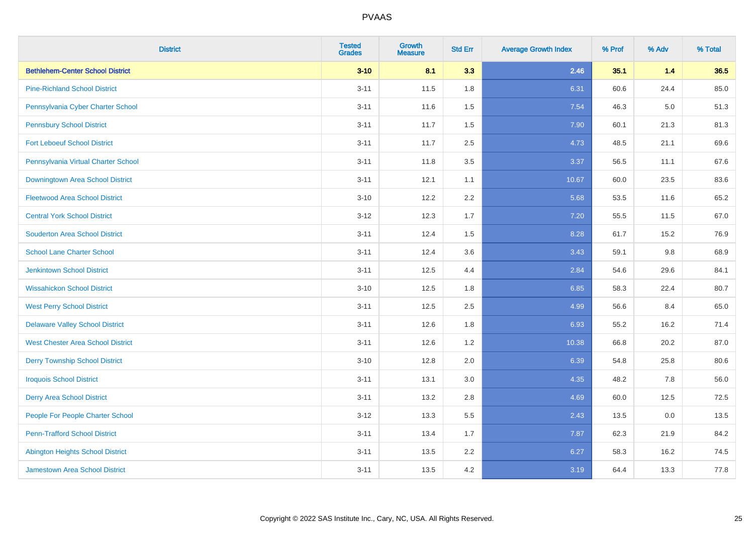| <b>District</b>                          | <b>Tested</b><br><b>Grades</b> | <b>Growth</b><br><b>Measure</b> | <b>Std Err</b> | <b>Average Growth Index</b> | % Prof | % Adv | % Total |
|------------------------------------------|--------------------------------|---------------------------------|----------------|-----------------------------|--------|-------|---------|
| <b>Bethlehem-Center School District</b>  | $3 - 10$                       | 8.1                             | 3.3            | 2.46                        | 35.1   | $1.4$ | 36.5    |
| <b>Pine-Richland School District</b>     | $3 - 11$                       | 11.5                            | 1.8            | 6.31                        | 60.6   | 24.4  | 85.0    |
| Pennsylvania Cyber Charter School        | $3 - 11$                       | 11.6                            | 1.5            | 7.54                        | 46.3   | 5.0   | 51.3    |
| <b>Pennsbury School District</b>         | $3 - 11$                       | 11.7                            | 1.5            | 7.90                        | 60.1   | 21.3  | 81.3    |
| <b>Fort Leboeuf School District</b>      | $3 - 11$                       | 11.7                            | 2.5            | 4.73                        | 48.5   | 21.1  | 69.6    |
| Pennsylvania Virtual Charter School      | $3 - 11$                       | 11.8                            | 3.5            | 3.37                        | 56.5   | 11.1  | 67.6    |
| Downingtown Area School District         | $3 - 11$                       | 12.1                            | 1.1            | 10.67                       | 60.0   | 23.5  | 83.6    |
| <b>Fleetwood Area School District</b>    | $3 - 10$                       | 12.2                            | 2.2            | 5.68                        | 53.5   | 11.6  | 65.2    |
| <b>Central York School District</b>      | $3 - 12$                       | 12.3                            | 1.7            | 7.20                        | 55.5   | 11.5  | 67.0    |
| <b>Souderton Area School District</b>    | $3 - 11$                       | 12.4                            | 1.5            | 8.28                        | 61.7   | 15.2  | 76.9    |
| <b>School Lane Charter School</b>        | $3 - 11$                       | 12.4                            | 3.6            | 3.43                        | 59.1   | 9.8   | 68.9    |
| <b>Jenkintown School District</b>        | $3 - 11$                       | 12.5                            | 4.4            | 2.84                        | 54.6   | 29.6  | 84.1    |
| <b>Wissahickon School District</b>       | $3 - 10$                       | 12.5                            | 1.8            | 6.85                        | 58.3   | 22.4  | 80.7    |
| <b>West Perry School District</b>        | $3 - 11$                       | 12.5                            | 2.5            | 4.99                        | 56.6   | 8.4   | 65.0    |
| <b>Delaware Valley School District</b>   | $3 - 11$                       | 12.6                            | 1.8            | 6.93                        | 55.2   | 16.2  | 71.4    |
| <b>West Chester Area School District</b> | $3 - 11$                       | 12.6                            | 1.2            | 10.38                       | 66.8   | 20.2  | 87.0    |
| <b>Derry Township School District</b>    | $3 - 10$                       | 12.8                            | 2.0            | 6.39                        | 54.8   | 25.8  | 80.6    |
| <b>Iroquois School District</b>          | $3 - 11$                       | 13.1                            | 3.0            | 4.35                        | 48.2   | 7.8   | 56.0    |
| <b>Derry Area School District</b>        | $3 - 11$                       | 13.2                            | 2.8            | 4.69                        | 60.0   | 12.5  | 72.5    |
| People For People Charter School         | $3 - 12$                       | 13.3                            | 5.5            | 2.43                        | 13.5   | 0.0   | 13.5    |
| <b>Penn-Trafford School District</b>     | $3 - 11$                       | 13.4                            | 1.7            | 7.87                        | 62.3   | 21.9  | 84.2    |
| <b>Abington Heights School District</b>  | $3 - 11$                       | 13.5                            | 2.2            | 6.27                        | 58.3   | 16.2  | 74.5    |
| <b>Jamestown Area School District</b>    | $3 - 11$                       | 13.5                            | 4.2            | 3.19                        | 64.4   | 13.3  | 77.8    |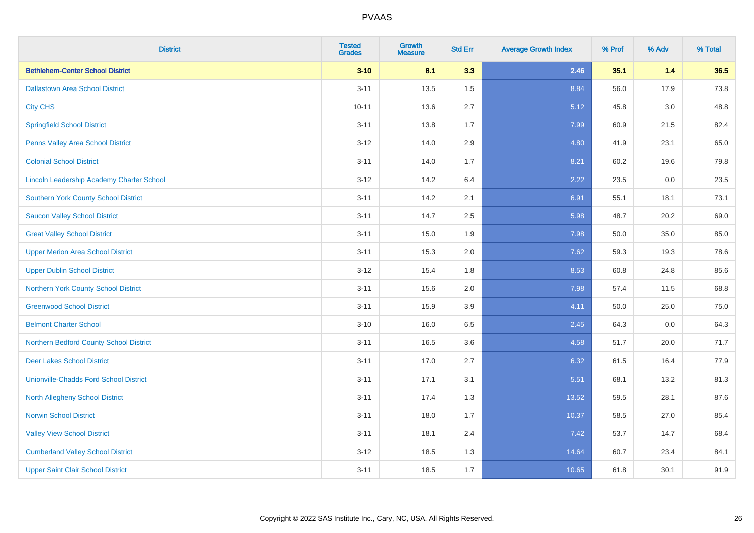| <b>District</b>                                  | <b>Tested</b><br><b>Grades</b> | <b>Growth</b><br><b>Measure</b> | <b>Std Err</b> | <b>Average Growth Index</b> | % Prof | % Adv   | % Total |
|--------------------------------------------------|--------------------------------|---------------------------------|----------------|-----------------------------|--------|---------|---------|
| <b>Bethlehem-Center School District</b>          | $3 - 10$                       | 8.1                             | 3.3            | 2.46                        | 35.1   | $1.4$   | 36.5    |
| <b>Dallastown Area School District</b>           | $3 - 11$                       | 13.5                            | 1.5            | 8.84                        | 56.0   | 17.9    | 73.8    |
| <b>City CHS</b>                                  | $10 - 11$                      | 13.6                            | 2.7            | 5.12                        | 45.8   | 3.0     | 48.8    |
| <b>Springfield School District</b>               | $3 - 11$                       | 13.8                            | 1.7            | 7.99                        | 60.9   | 21.5    | 82.4    |
| Penns Valley Area School District                | $3 - 12$                       | 14.0                            | 2.9            | 4.80                        | 41.9   | 23.1    | 65.0    |
| <b>Colonial School District</b>                  | $3 - 11$                       | 14.0                            | 1.7            | 8.21                        | 60.2   | 19.6    | 79.8    |
| <b>Lincoln Leadership Academy Charter School</b> | $3 - 12$                       | 14.2                            | 6.4            | 2.22                        | 23.5   | $0.0\,$ | 23.5    |
| <b>Southern York County School District</b>      | $3 - 11$                       | 14.2                            | 2.1            | 6.91                        | 55.1   | 18.1    | 73.1    |
| <b>Saucon Valley School District</b>             | $3 - 11$                       | 14.7                            | 2.5            | 5.98                        | 48.7   | 20.2    | 69.0    |
| <b>Great Valley School District</b>              | $3 - 11$                       | 15.0                            | 1.9            | 7.98                        | 50.0   | 35.0    | 85.0    |
| <b>Upper Merion Area School District</b>         | $3 - 11$                       | 15.3                            | 2.0            | 7.62                        | 59.3   | 19.3    | 78.6    |
| <b>Upper Dublin School District</b>              | $3 - 12$                       | 15.4                            | 1.8            | 8.53                        | 60.8   | 24.8    | 85.6    |
| Northern York County School District             | $3 - 11$                       | 15.6                            | 2.0            | 7.98                        | 57.4   | 11.5    | 68.8    |
| <b>Greenwood School District</b>                 | $3 - 11$                       | 15.9                            | 3.9            | 4.11                        | 50.0   | 25.0    | 75.0    |
| <b>Belmont Charter School</b>                    | $3 - 10$                       | 16.0                            | 6.5            | 2.45                        | 64.3   | 0.0     | 64.3    |
| Northern Bedford County School District          | $3 - 11$                       | 16.5                            | 3.6            | 4.58                        | 51.7   | 20.0    | 71.7    |
| <b>Deer Lakes School District</b>                | $3 - 11$                       | 17.0                            | 2.7            | 6.32                        | 61.5   | 16.4    | 77.9    |
| <b>Unionville-Chadds Ford School District</b>    | $3 - 11$                       | 17.1                            | 3.1            | 5.51                        | 68.1   | 13.2    | 81.3    |
| <b>North Allegheny School District</b>           | $3 - 11$                       | 17.4                            | 1.3            | 13.52                       | 59.5   | 28.1    | 87.6    |
| <b>Norwin School District</b>                    | $3 - 11$                       | 18.0                            | 1.7            | 10.37                       | 58.5   | 27.0    | 85.4    |
| <b>Valley View School District</b>               | $3 - 11$                       | 18.1                            | 2.4            | 7.42                        | 53.7   | 14.7    | 68.4    |
| <b>Cumberland Valley School District</b>         | $3 - 12$                       | 18.5                            | 1.3            | 14.64                       | 60.7   | 23.4    | 84.1    |
| <b>Upper Saint Clair School District</b>         | $3 - 11$                       | 18.5                            | 1.7            | 10.65                       | 61.8   | 30.1    | 91.9    |